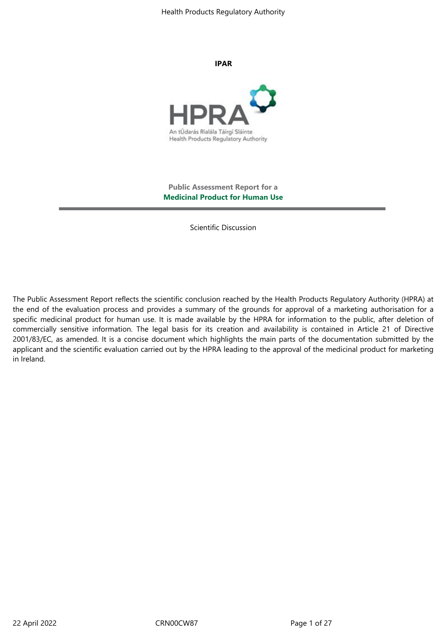**IPAR**



**Public Assessment Report for a Medicinal Product for Human Use**

Scientific Discussion

The Public Assessment Report reflects the scientific conclusion reached by the Health Products Regulatory Authority (HPRA) at the end of the evaluation process and provides a summary of the grounds for approval of a marketing authorisation for a specific medicinal product for human use. It is made available by the HPRA for information to the public, after deletion of commercially sensitive information. The legal basis for its creation and availability is contained in Article 21 of Directive 2001/83/EC, as amended. It is a concise document which highlights the main parts of the documentation submitted by the applicant and the scientific evaluation carried out by the HPRA leading to the approval of the medicinal product for marketing in Ireland.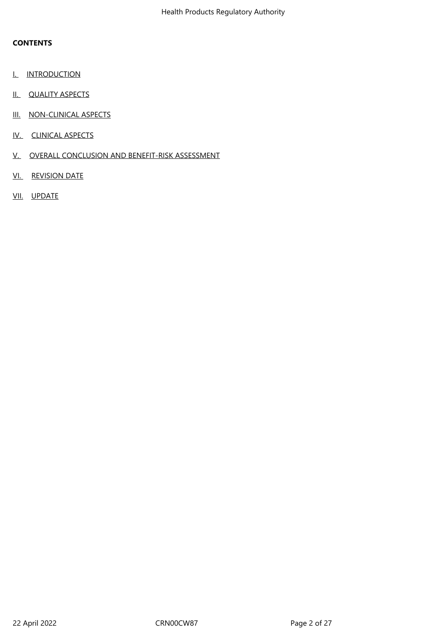### **CONTENTS**

- I. INTRODUCTION
- II. QUALITY ASPECTS
- III. NON-CLINICAL ASPECTS
- IV. CLINICAL ASPECTS
- V. OVERALL CONCLUSION AND BENEFIT-RISK ASSESSMENT
- VI. REVISION DATE
- VII. UPDATE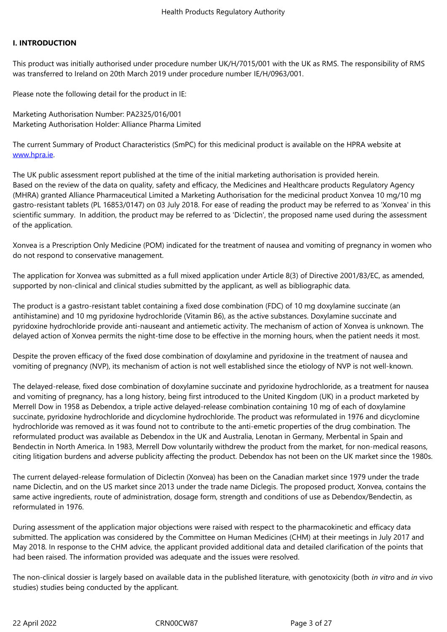### **I. INTRODUCTION**

This product was initially authorised under procedure number UK/H/7015/001 with the UK as RMS. The responsibility of RMS was transferred to Ireland on 20th March 2019 under procedure number IE/H/0963/001.

Please note the following detail for the product in IE:

Marketing Authorisation Number: PA2325/016/001 Marketing Authorisation Holder: Alliance Pharma Limited

The current Summary of Product Characteristics (SmPC) for this medicinal product is available on the HPRA website at www.hpra.ie.

The UK public assessment report published at the time of the initial marketing authorisation is provided herein. Based on the review of the data on quality, safety and efficacy, the Medicines and Healthcare products Regulatory Agency [\(MHRA\) gran](http://www.hpra.ie/)ted Alliance Pharmaceutical Limited a Marketing Authorisation for the medicinal product Xonvea 10 mg/10 mg gastro-resistant tablets (PL 16853/0147) on 03 July 2018. For ease of reading the product may be referred to as 'Xonvea' in this scientific summary. In addition, the product may be referred to as 'Diclectin', the proposed name used during the assessment of the application.

Xonvea is a Prescription Only Medicine (POM) indicated for the treatment of nausea and vomiting of pregnancy in women who do not respond to conservative management.

The application for Xonvea was submitted as a full mixed application under Article 8(3) of Directive 2001/83/EC, as amended, supported by non-clinical and clinical studies submitted by the applicant, as well as bibliographic data.

The product is a gastro-resistant tablet containing a fixed dose combination (FDC) of 10 mg doxylamine succinate (an antihistamine) and 10 mg pyridoxine hydrochloride (Vitamin B6), as the active substances. Doxylamine succinate and pyridoxine hydrochloride provide anti-nauseant and antiemetic activity. The mechanism of action of Xonvea is unknown. The delayed action of Xonvea permits the night-time dose to be effective in the morning hours, when the patient needs it most.

Despite the proven efficacy of the fixed dose combination of doxylamine and pyridoxine in the treatment of nausea and vomiting of pregnancy (NVP), its mechanism of action is not well established since the etiology of NVP is not well-known.

The delayed-release, fixed dose combination of doxylamine succinate and pyridoxine hydrochloride, as a treatment for nausea and vomiting of pregnancy, has a long history, being first introduced to the United Kingdom (UK) in a product marketed by Merrell Dow in 1958 as Debendox, a triple active delayed-release combination containing 10 mg of each of doxylamine succinate, pyridoxine hydrochloride and dicyclomine hydrochloride. The product was reformulated in 1976 and dicyclomine hydrochloride was removed as it was found not to contribute to the anti-emetic properties of the drug combination. The reformulated product was available as Debendox in the UK and Australia, Lenotan in Germany, Merbental in Spain and Bendectin in North America. In 1983, Merrell Dow voluntarily withdrew the product from the market, for non-medical reasons, citing litigation burdens and adverse publicity affecting the product. Debendox has not been on the UK market since the 1980s.

The current delayed-release formulation of Diclectin (Xonvea) has been on the Canadian market since 1979 under the trade name Diclectin, and on the US market since 2013 under the trade name Diclegis. The proposed product, Xonvea, contains the same active ingredients, route of administration, dosage form, strength and conditions of use as Debendox/Bendectin, as reformulated in 1976.

During assessment of the application major objections were raised with respect to the pharmacokinetic and efficacy data submitted. The application was considered by the Committee on Human Medicines (CHM) at their meetings in July 2017 and May 2018. In response to the CHM advice, the applicant provided additional data and detailed clarification of the points that had been raised. The information provided was adequate and the issues were resolved.

The non-clinical dossier is largely based on available data in the published literature, with genotoxicity (both *in vitro* and *in* vivo studies) studies being conducted by the applicant.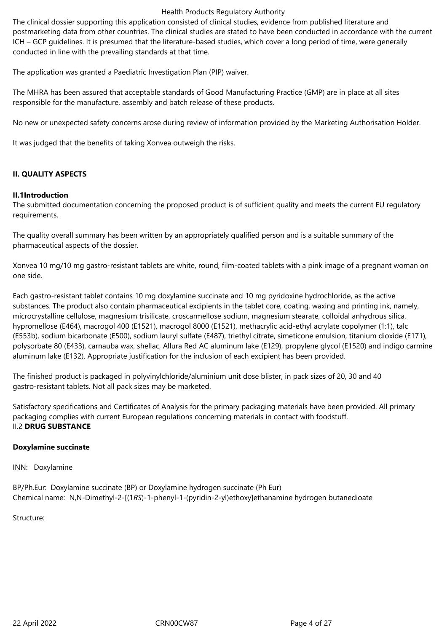The clinical dossier supporting this application consisted of clinical studies, evidence from published literature and postmarketing data from other countries. The clinical studies are stated to have been conducted in accordance with the current ICH – GCP guidelines. It is presumed that the literature-based studies, which cover a long period of time, were generally conducted in line with the prevailing standards at that time.

The application was granted a Paediatric Investigation Plan (PIP) waiver.

The MHRA has been assured that acceptable standards of Good Manufacturing Practice (GMP) are in place at all sites responsible for the manufacture, assembly and batch release of these products.

No new or unexpected safety concerns arose during review of information provided by the Marketing Authorisation Holder.

It was judged that the benefits of taking Xonvea outweigh the risks.

### **II. QUALITY ASPECTS**

### **II.1Introduction**

The submitted documentation concerning the proposed product is of sufficient quality and meets the current EU regulatory requirements.

The quality overall summary has been written by an appropriately qualified person and is a suitable summary of the pharmaceutical aspects of the dossier.

Xonvea 10 mg/10 mg gastro-resistant tablets are white, round, film-coated tablets with a pink image of a pregnant woman on one side.

Each gastro-resistant tablet contains 10 mg doxylamine succinate and 10 mg pyridoxine hydrochloride, as the active substances. The product also contain pharmaceutical excipients in the tablet core, coating, waxing and printing ink, namely, microcrystalline cellulose, magnesium trisilicate, croscarmellose sodium, magnesium stearate, colloidal anhydrous silica, hypromellose (E464), macrogol 400 (E1521), macrogol 8000 (E1521), methacrylic acid-ethyl acrylate copolymer (1:1), talc (E553b), sodium bicarbonate (E500), sodium lauryl sulfate (E487), triethyl citrate, simeticone emulsion, titanium dioxide (E171), polysorbate 80 (E433), carnauba wax, shellac, Allura Red AC aluminum lake (E129), propylene glycol (E1520) and indigo carmine aluminum lake (E132). Appropriate justification for the inclusion of each excipient has been provided.

The finished product is packaged in polyvinylchloride/aluminium unit dose blister, in pack sizes of 20, 30 and 40 gastro-resistant tablets. Not all pack sizes may be marketed.

Satisfactory specifications and Certificates of Analysis for the primary packaging materials have been provided. All primary packaging complies with current European regulations concerning materials in contact with foodstuff. II.2 **DRUG SUBSTANCE**

### **Doxylamine succinate**

INN: Doxylamine

BP/Ph.Eur: Doxylamine succinate (BP) or Doxylamine hydrogen succinate (Ph Eur) Chemical name: N,N-Dimethyl-2-[(1*RS*)-1-phenyl-1-(pyridin-2-yl)ethoxy]ethanamine hydrogen butanedioate

Structure: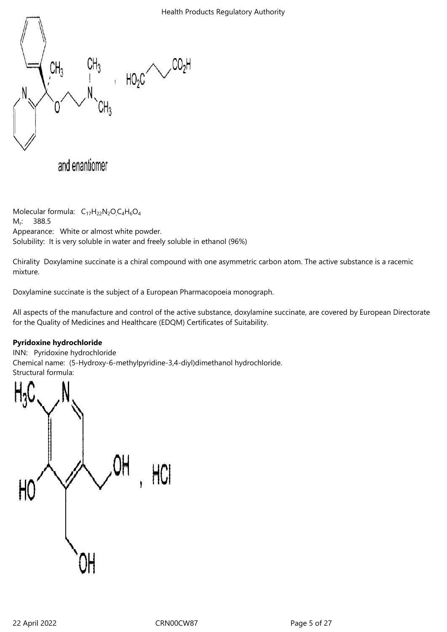

Molecular formula:  $C_{17}H_{22}N_2O_1C_4H_6O_4$  $M<sub>r</sub>$ : : 388.5 Appearance: White or almost white powder. Solubility: It is very soluble in water and freely soluble in ethanol (96%)

Chirality Doxylamine succinate is a chiral compound with one asymmetric carbon atom. The active substance is a racemic mixture.

Doxylamine succinate is the subject of a European Pharmacopoeia monograph.

All aspects of the manufacture and control of the active substance, doxylamine succinate, are covered by European Directorate for the Quality of Medicines and Healthcare (EDQM) Certificates of Suitability.

# **Pyridoxine hydrochloride**

INN: Pyridoxine hydrochloride Chemical name: (5-Hydroxy-6-methylpyridine-3,4-diyl)dimethanol hydrochloride. Structural formula:

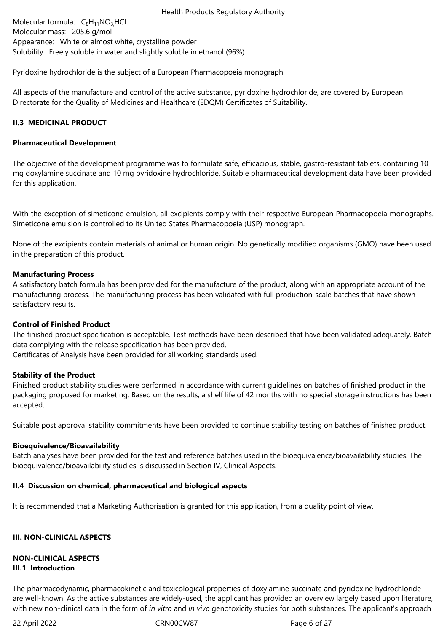Molecular formula:  $C_8H_{11}NO_3$  HCl Molecular mass: 205.6 g/mol Appearance: White or almost white, crystalline powder Solubility: Freely soluble in water and slightly soluble in ethanol (96%)

Pyridoxine hydrochloride is the subject of a European Pharmacopoeia monograph.

All aspects of the manufacture and control of the active substance, pyridoxine hydrochloride, are covered by European Directorate for the Quality of Medicines and Healthcare (EDQM) Certificates of Suitability.

### **II.3 MEDICINAL PRODUCT**

### **Pharmaceutical Development**

The objective of the development programme was to formulate safe, efficacious, stable, gastro-resistant tablets, containing 10 mg doxylamine succinate and 10 mg pyridoxine hydrochloride. Suitable pharmaceutical development data have been provided for this application.

With the exception of simeticone emulsion, all excipients comply with their respective European Pharmacopoeia monographs. Simeticone emulsion is controlled to its United States Pharmacopoeia (USP) monograph.

None of the excipients contain materials of animal or human origin. No genetically modified organisms (GMO) have been used in the preparation of this product.

### **Manufacturing Process**

A satisfactory batch formula has been provided for the manufacture of the product, along with an appropriate account of the manufacturing process. The manufacturing process has been validated with full production-scale batches that have shown satisfactory results.

### **Control of Finished Product**

The finished product specification is acceptable. Test methods have been described that have been validated adequately. Batch data complying with the release specification has been provided.

Certificates of Analysis have been provided for all working standards used.

### **Stability of the Product**

Finished product stability studies were performed in accordance with current guidelines on batches of finished product in the packaging proposed for marketing. Based on the results, a shelf life of 42 months with no special storage instructions has been accepted.

Suitable post approval stability commitments have been provided to continue stability testing on batches of finished product.

### **Bioequivalence/Bioavailability**

Batch analyses have been provided for the test and reference batches used in the bioequivalence/bioavailability studies. The bioequivalence/bioavailability studies is discussed in Section IV, Clinical Aspects.

### **II.4 Discussion on chemical, pharmaceutical and biological aspects**

It is recommended that a Marketing Authorisation is granted for this application, from a quality point of view.

### **III. NON-CLINICAL ASPECTS**

### **NON-CLINICAL ASPECTS III.1 Introduction**

The pharmacodynamic, pharmacokinetic and toxicological properties of doxylamine succinate and pyridoxine hydrochloride are well-known. As the active substances are widely-used, the applicant has provided an overview largely based upon literature, with new non-clinical data in the form of *in vitro* and *in vivo* genotoxicity studies for both substances. The applicant's approach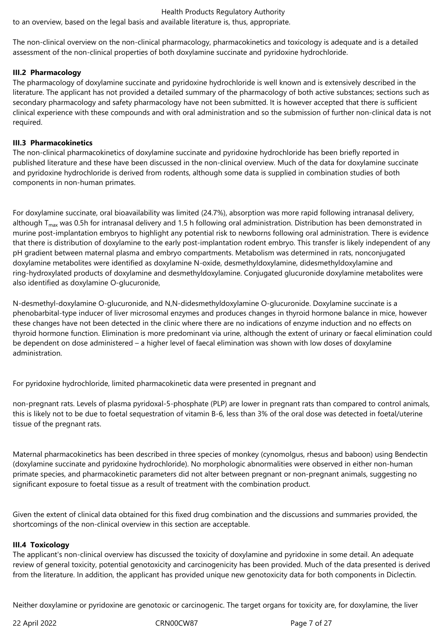to an overview, based on the legal basis and available literature is, thus, appropriate.

The non-clinical overview on the non-clinical pharmacology, pharmacokinetics and toxicology is adequate and is a detailed assessment of the non-clinical properties of both doxylamine succinate and pyridoxine hydrochloride.

### **III.2 Pharmacology**

The pharmacology of doxylamine succinate and pyridoxine hydrochloride is well known and is extensively described in the literature. The applicant has not provided a detailed summary of the pharmacology of both active substances; sections such as secondary pharmacology and safety pharmacology have not been submitted. It is however accepted that there is sufficient clinical experience with these compounds and with oral administration and so the submission of further non-clinical data is not required.

### **III.3 Pharmacokinetics**

The non-clinical pharmacokinetics of doxylamine succinate and pyridoxine hydrochloride has been briefly reported in published literature and these have been discussed in the non-clinical overview. Much of the data for doxylamine succinate and pyridoxine hydrochloride is derived from rodents, although some data is supplied in combination studies of both components in non-human primates.

For doxylamine succinate, oral bioavailability was limited (24.7%), absorption was more rapid following intranasal delivery, although  $T_{max}$  was 0.5h for intranasal delivery and 1.5 h following oral administration. Distribution has been demonstrated in murine post-implantation embryos to highlight any potential risk to newborns following oral administration. There is evidence that there is distribution of doxylamine to the early post-implantation rodent embryo. This transfer is likely independent of any pH gradient between maternal plasma and embryo compartments. Metabolism was determined in rats, nonconjugated doxylamine metabolites were identified as doxylamine N-oxide, desmethyldoxylamine, didesmethyldoxylamine and ring-hydroxylated products of doxylamine and desmethyldoxylamine. Conjugated glucuronide doxylamine metabolites were also identified as doxylamine O-glucuronide,

N-desmethyl-doxylamine O-glucuronide, and N,N-didesmethyldoxylamine O-glucuronide. Doxylamine succinate is a phenobarbital-type inducer of liver microsomal enzymes and produces changes in thyroid hormone balance in mice, however these changes have not been detected in the clinic where there are no indications of enzyme induction and no effects on thyroid hormone function. Elimination is more predominant via urine, although the extent of urinary or faecal elimination could be dependent on dose administered – a higher level of faecal elimination was shown with low doses of doxylamine administration.

For pyridoxine hydrochloride, limited pharmacokinetic data were presented in pregnant and

non-pregnant rats. Levels of plasma pyridoxal-5-phosphate (PLP) are lower in pregnant rats than compared to control animals, this is likely not to be due to foetal sequestration of vitamin B-6, less than 3% of the oral dose was detected in foetal/uterine tissue of the pregnant rats.

Maternal pharmacokinetics has been described in three species of monkey (cynomolgus, rhesus and baboon) using Bendectin (doxylamine succinate and pyridoxine hydrochloride). No morphologic abnormalities were observed in either non-human primate species, and pharmacokinetic parameters did not alter between pregnant or non-pregnant animals, suggesting no significant exposure to foetal tissue as a result of treatment with the combination product.

Given the extent of clinical data obtained for this fixed drug combination and the discussions and summaries provided, the shortcomings of the non-clinical overview in this section are acceptable.

# **III.4 Toxicology**

The applicant's non-clinical overview has discussed the toxicity of doxylamine and pyridoxine in some detail. An adequate review of general toxicity, potential genotoxicity and carcinogenicity has been provided. Much of the data presented is derived from the literature. In addition, the applicant has provided unique new genotoxicity data for both components in Diclectin.

Neither doxylamine or pyridoxine are genotoxic or carcinogenic. The target organs for toxicity are, for doxylamine, the liver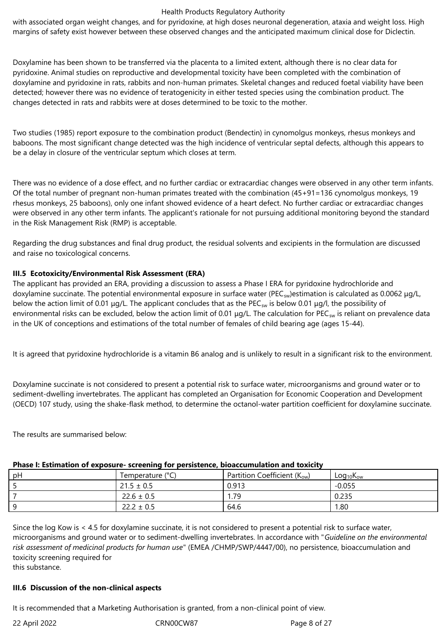with associated organ weight changes, and for pyridoxine, at high doses neuronal degeneration, ataxia and weight loss. High margins of safety exist however between these observed changes and the anticipated maximum clinical dose for Diclectin.

Doxylamine has been shown to be transferred via the placenta to a limited extent, although there is no clear data for pyridoxine. Animal studies on reproductive and developmental toxicity have been completed with the combination of doxylamine and pyridoxine in rats, rabbits and non-human primates. Skeletal changes and reduced foetal viability have been detected; however there was no evidence of teratogenicity in either tested species using the combination product. The changes detected in rats and rabbits were at doses determined to be toxic to the mother.

Two studies (1985) report exposure to the combination product (Bendectin) in cynomolgus monkeys, rhesus monkeys and baboons. The most significant change detected was the high incidence of ventricular septal defects, although this appears to be a delay in closure of the ventricular septum which closes at term.

There was no evidence of a dose effect, and no further cardiac or extracardiac changes were observed in any other term infants. Of the total number of pregnant non-human primates treated with the combination (45+91=136 cynomolgus monkeys, 19 rhesus monkeys, 25 baboons), only one infant showed evidence of a heart defect. No further cardiac or extracardiac changes were observed in any other term infants. The applicant's rationale for not pursuing additional monitoring beyond the standard in the Risk Management Risk (RMP) is acceptable.

Regarding the drug substances and final drug product, the residual solvents and excipients in the formulation are discussed and raise no toxicological concerns.

# **III.5 Ecotoxicity/Environmental Risk Assessment (ERA)**

The applicant has provided an ERA, providing a discussion to assess a Phase I ERA for pyridoxine hydrochloride and doxylamine succinate. The potential environmental exposure in surface water (PEC<sub>sw</sub>)estimation is calculated as 0.0062 μg/L, below the action limit of 0.01 μg/L. The applicant concludes that as the PEC<sub>SW</sub> is below 0.01 μg/l, the possibility of environmental risks can be excluded, below the action limit of 0.01 μg/L. The calculation for PEC<sub>sw</sub> is reliant on prevalence data in the UK of conceptions and estimations of the total number of females of child bearing age (ages 15-44).

It is agreed that pyridoxine hydrochloride is a vitamin B6 analog and is unlikely to result in a significant risk to the environment.

Doxylamine succinate is not considered to present a potential risk to surface water, microorganisms and ground water or to sediment-dwelling invertebrates. The applicant has completed an Organisation for Economic Cooperation and Development (OECD) 107 study, using the shake-flask method, to determine the octanol-water partition coefficient for doxylamine succinate.

The results are summarised below:

# **Phase I: Estimation of exposure- screening for persistence, bioaccumulation and toxicity**

| pH | Temperature (°C) | Partition Coefficient $(K_{ow})$ | $Log_{10}K_{ow}$ |
|----|------------------|----------------------------------|------------------|
|    | $21.5 \pm 0.5$   | 0.913                            | $-0.055$         |
|    | $22.6 \pm 0.5$   | 79،                              | 0.235            |
|    | $22.2 \pm 0.5$   | 64.6                             | 1.80             |

Since the log Kow is < 4.5 for doxylamine succinate, it is not considered to present a potential risk to surface water, microorganisms and ground water or to sediment-dwelling invertebrates. In accordance with "*Guideline on the environmental risk assessment of medicinal products for human use*" (EMEA /CHMP/SWP/4447/00), no persistence, bioaccumulation and toxicity screening required for

this substance.

# **III.6 Discussion of the non-clinical aspects**

It is recommended that a Marketing Authorisation is granted, from a non‑clinical point of view.

22 April 2022 CRN00CW87 Page 8 of 27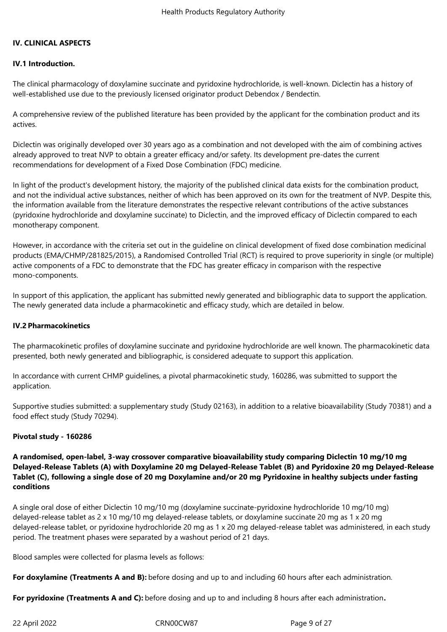### **IV. CLINICAL ASPECTS**

### **IV.1 Introduction.**

The clinical pharmacology of doxylamine succinate and pyridoxine hydrochloride, is well-known. Diclectin has a history of well-established use due to the previously licensed originator product Debendox / Bendectin.

A comprehensive review of the published literature has been provided by the applicant for the combination product and its actives.

Diclectin was originally developed over 30 years ago as a combination and not developed with the aim of combining actives already approved to treat NVP to obtain a greater efficacy and/or safety. Its development pre-dates the current recommendations for development of a Fixed Dose Combination (FDC) medicine.

In light of the product's development history, the majority of the published clinical data exists for the combination product, and not the individual active substances, neither of which has been approved on its own for the treatment of NVP. Despite this, the information available from the literature demonstrates the respective relevant contributions of the active substances (pyridoxine hydrochloride and doxylamine succinate) to Diclectin, and the improved efficacy of Diclectin compared to each monotherapy component.

However, in accordance with the criteria set out in the guideline on clinical development of fixed dose combination medicinal products (EMA/CHMP/281825/2015), a Randomised Controlled Trial (RCT) is required to prove superiority in single (or multiple) active components of a FDC to demonstrate that the FDC has greater efficacy in comparison with the respective mono-components.

In support of this application, the applicant has submitted newly generated and bibliographic data to support the application. The newly generated data include a pharmacokinetic and efficacy study, which are detailed in below.

### **IV.2 Pharmacokinetics**

The pharmacokinetic profiles of doxylamine succinate and pyridoxine hydrochloride are well known. The pharmacokinetic data presented, both newly generated and bibliographic, is considered adequate to support this application.

In accordance with current CHMP guidelines, a pivotal pharmacokinetic study, 160286, was submitted to support the application.

Supportive studies submitted: a supplementary study (Study 02163), in addition to a relative bioavailability (Study 70381) and a food effect study (Study 70294).

### **Pivotal study - 160286**

**A randomised, open-label, 3-way crossover comparative bioavailability study comparing Diclectin 10 mg/10 mg Delayed-Release Tablets (A) with Doxylamine 20 mg Delayed-Release Tablet (B) and Pyridoxine 20 mg Delayed-Release Tablet (C), following a single dose of 20 mg Doxylamine and/or 20 mg Pyridoxine in healthy subjects under fasting conditions**

A single oral dose of either Diclectin 10 mg/10 mg (doxylamine succinate-pyridoxine hydrochloride 10 mg/10 mg) delayed-release tablet as 2 x 10 mg/10 mg delayed-release tablets, or doxylamine succinate 20 mg as 1 x 20 mg delayed-release tablet, or pyridoxine hydrochloride 20 mg as 1 x 20 mg delayed-release tablet was administered, in each study period. The treatment phases were separated by a washout period of 21 days.

Blood samples were collected for plasma levels as follows:

**For doxylamine (Treatments A and B):** before dosing and up to and including 60 hours after each administration.

**For pyridoxine (Treatments A and C):** before dosing and up to and including 8 hours after each administration**.**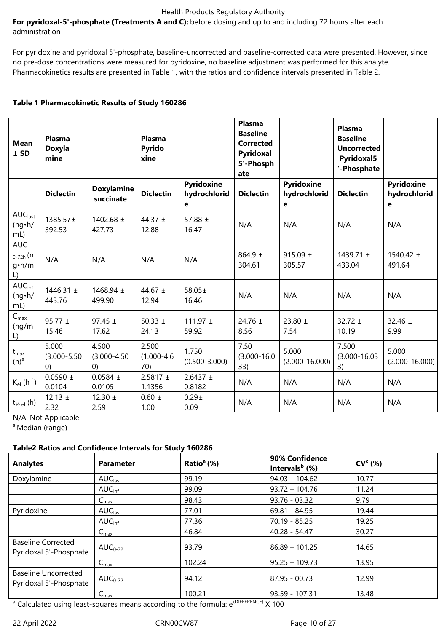**For pyridoxal-5'-phosphate (Treatments A and C):** before dosing and up to and including 72 hours after each administration

For pyridoxine and pyridoxal 5'-phosphate, baseline-uncorrected and baseline-corrected data were presented. However, since no pre-dose concentrations were measured for pyridoxine, no baseline adjustment was performed for this analyte. Pharmacokinetics results are presented in Table 1, with the ratios and confidence intervals presented in Table 2.

### **Table 1 Pharmacokinetic Results of Study 160286**

| <b>Mean</b><br>$±$ SD                             | <b>Plasma</b><br><b>Doxyla</b><br>mine |                                  | <b>Plasma</b><br><b>Pyrido</b><br>xine |                                 | Plasma<br><b>Baseline</b><br><b>Corrected</b><br>Pyridoxal<br>5'-Phosph<br>ate |                                 | <b>Plasma</b><br><b>Baseline</b><br><b>Uncorrected</b><br><b>Pyridoxal5</b><br>'-Phosphate |                                 |
|---------------------------------------------------|----------------------------------------|----------------------------------|----------------------------------------|---------------------------------|--------------------------------------------------------------------------------|---------------------------------|--------------------------------------------------------------------------------------------|---------------------------------|
|                                                   | <b>Diclectin</b>                       | <b>Doxylamine</b><br>succinate   | <b>Diclectin</b>                       | Pyridoxine<br>hydrochlorid<br>е | <b>Diclectin</b>                                                               | Pyridoxine<br>hydrochlorid<br>е | <b>Diclectin</b>                                                                           | Pyridoxine<br>hydrochlorid<br>е |
| AUC <sub>last</sub><br>$(ng \cdot h)$<br>$mL$ )   | 1385.57±<br>392.53                     | 1402.68 $\pm$<br>427.73          | 44.37 $\pm$<br>12.88                   | 57.88 $\pm$<br>16.47            | N/A                                                                            | N/A                             | N/A                                                                                        | N/A                             |
| <b>AUC</b><br>$_{0-72h}$ (n<br>$g\cdot h/m$<br>L) | N/A                                    | N/A                              | N/A                                    | N/A                             | $864.9 \pm$<br>304.61                                                          | 915.09 $\pm$<br>305.57          | 1439.71 $\pm$<br>433.04                                                                    | 1540.42 $\pm$<br>491.64         |
| AUC <sub>inf</sub><br>(ng·h/<br>$mL$ )            | 1446.31 $\pm$<br>443.76                | 1468.94 $\pm$<br>499.90          | 44.67 $\pm$<br>12.94                   | 58.05±<br>16.46                 | N/A                                                                            | N/A                             | N/A                                                                                        | N/A                             |
| $C_{\text{max}}$<br>(ng/m)<br>L)                  | 95.77 $\pm$<br>15.46                   | 97.45 $\pm$<br>17.62             | 50.33 $\pm$<br>24.13                   | 111.97 $\pm$<br>59.92           | 24.76 $\pm$<br>8.56                                                            | 23.80 $\pm$<br>7.54             | $32.72 \pm$<br>10.19                                                                       | 32.46 $\pm$<br>9.99             |
| $t_{\text{max}}$<br>(h) <sup>a</sup>              | 5.000<br>$(3.000 - 5.50)$<br>(0)       | 4.500<br>$(3.000 - 4.50)$<br>(0) | 2.500<br>$(1.000 - 4.6)$<br>70)        | 1.750<br>$(0.500 - 3.000)$      | 7.50<br>$(3.000 - 16.0)$<br>33)                                                | 5.000<br>$(2.000 - 16.000)$     | 7.500<br>$(3.000 - 16.03)$<br>3)                                                           | 5.000<br>$(2.000 - 16.000)$     |
| $K_{el}$ (h <sup>-1</sup> )                       | $0.0590 +$<br>0.0104                   | $0.0584 \pm$<br>0.0105           | 2.5817 $\pm$<br>1.1356                 | $2.6437 \pm$<br>0.8182          | N/A                                                                            | N/A                             | N/A                                                                                        | N/A                             |
| $t_{\frac{1}{2}el}$ (h)                           | 12.13 $\pm$<br>2.32                    | 12.30 $\pm$<br>2.59              | $0.60 \pm$<br>1.00                     | $0.29 +$<br>0.09                | N/A                                                                            | N/A                             | N/A                                                                                        | N/A                             |

N/A: Not Applicable

<sup>a</sup> Median (range)

# **Table2 Ratios and Confidence Intervals for Study 160286**

| <b>Analytes</b>                                       | <b>Parameter</b>    | Ratio $^{\circ}$ (%)                                                                                        | 90% Confidence<br>Intervals $b$ (%) | CV <sup>c</sup> (%) |
|-------------------------------------------------------|---------------------|-------------------------------------------------------------------------------------------------------------|-------------------------------------|---------------------|
| Doxylamine                                            | AUC <sub>last</sub> | 99.19                                                                                                       | $94.03 - 104.62$                    | 10.77               |
|                                                       | AUC <sub>inf</sub>  | 99.09                                                                                                       | $93.72 - 104.76$                    | 11.24               |
|                                                       | $C_{\text{max}}$    | 98.43                                                                                                       | $93.76 - 03.32$                     | 9.79                |
| Pyridoxine                                            | AUC <sub>last</sub> | 77.01                                                                                                       | $69.81 - 84.95$                     | 19.44               |
|                                                       | AUC <sub>inf</sub>  | 77.36                                                                                                       | $70.19 - 85.25$                     | 19.25               |
|                                                       | $C_{\text{max}}$    | 46.84                                                                                                       | $40.28 - 54.47$                     | 30.27               |
| <b>Baseline Corrected</b><br>Pyridoxal 5'-Phosphate   | $AUC_{0-72}$        | 93.79                                                                                                       | $86.89 - 101.25$                    | 14.65               |
|                                                       | $C_{\text{max}}$    | 102.24                                                                                                      | $95.25 - 109.73$                    | 13.95               |
| <b>Baseline Uncorrected</b><br>Pyridoxal 5'-Phosphate | AUC <sub>0-72</sub> | 94.12                                                                                                       | $87.95 - 00.73$                     | 12.99               |
|                                                       | $C_{\text{max}}$    | 100.21                                                                                                      | 93.59 - 107.31                      | 13.48               |
|                                                       |                     | <sup>a</sup> Calculated using least-squares means according to the formula: e <sup>(DIFFERENCE)</sup> X 100 |                                     |                     |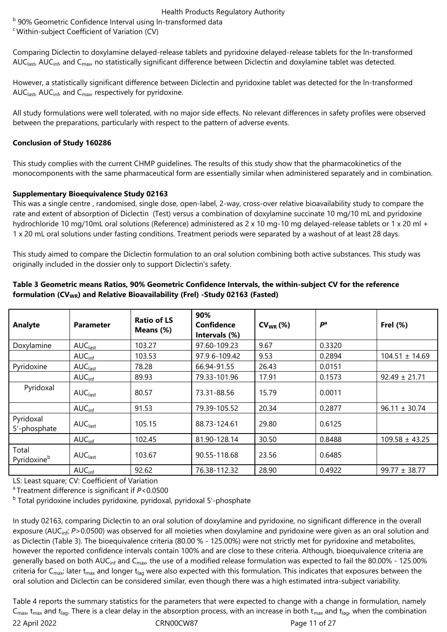<sup>b</sup> 90% Geometric Confidence Interval using In-transformed data

<sup>c</sup> Within-subject Coefficient of Variation (CV)

Comparing Diclectin to doxylamine delayed-release tablets and pyridoxine delayed-release tablets for the ln-transformed AUC<sub>last</sub>, AUC<sub>inf</sub>, and C<sub>max</sub>, no statistically significant difference between Diclectin and doxylamine tablet was detected.

However, a statistically significant difference between Diclectin and pyridoxine tablet was detected for the ln-transformed AUC<sub>last</sub>, AUC<sub>inf</sub>, and C<sub>max</sub>, respectively for pyridoxine.

All study formulations were well tolerated, with no major side effects. No relevant differences in safety profiles were observed between the preparations, particularly with respect to the pattern of adverse events.

# **Conclusion of Study 160286**

This study complies with the current CHMP guidelines. The results of this study show that the pharmacokinetics of the monocomponents with the same pharmaceutical form are essentially similar when administered separately and in combination.

# **Supplementary Bioequivalence Study 02163**

This was a single centre , randomised, single dose, open-label, 2-way, cross-over relative bioavailability study to compare the rate and extent of absorption of Diclectin (Test) versus a combination of doxylamine succinate 10 mg/10 mL and pyridoxine hydrochloride 10 mg/10mL oral solutions (Reference) administered as 2 x 10 mg-10 mg delayed-release tablets or 1 x 20 ml + 1 x 20 mL oral solutions under fasting conditions. Treatment periods were separated by a washout of at least 28 days.

This study aimed to compare the Diclectin formulation to an oral solution combining both active substances. This study was originally included in the dossier only to support Diclectin's safety.

| Analyte                   | <b>Parameter</b>    | <b>Ratio of LS</b><br>Means (%) | 90%<br>Confidence<br>Intervals (%) | $CV_{WR}$ (%) | P <sup>a</sup> | Frel $(%)$         |
|---------------------------|---------------------|---------------------------------|------------------------------------|---------------|----------------|--------------------|
| Doxylamine                | AUC <sub>last</sub> | 103.27                          | 97.60-109.23                       | 9.67          | 0.3320         |                    |
|                           | AUC <sub>inf</sub>  | 103.53                          | 97.9 6-109.42                      | 9.53          | 0.2894         | $104.51 \pm 14.69$ |
| Pyridoxine                | AUC <sub>last</sub> | 78.28                           | 66.94-91.55                        | 26.43         | 0.0151         |                    |
|                           | AUC <sub>inf</sub>  | 89.93                           | 79.33-101.96                       | 17.91         | 0.1573         | $92.49 \pm 21.71$  |
| Pyridoxal                 | AUC <sub>last</sub> | 80.57                           | 73.31-88.56                        | 15.79         | 0.0011         |                    |
|                           | AUC <sub>inf</sub>  | 91.53                           | 79.39-105.52                       | 20.34         | 0.2877         | $96.11 \pm 30.74$  |
| Pyridoxal<br>5'-phosphate | AUC <sub>last</sub> | 105.15                          | 88.73-124.61                       | 29.80         | 0.6125         |                    |
|                           | AUC <sub>inf</sub>  | 102.45                          | 81.90-128.14                       | 30.50         | 0.8488         | $109.58 \pm 43.25$ |
| Total<br>Pyridoxineb      | AUC <sub>last</sub> | 103.67                          | 90.55-118.68                       | 23.56         | 0.6485         |                    |
|                           | AUC <sub>inf</sub>  | 92.62                           | 76.38-112.32                       | 28.90         | 0.4922         | $99.77 \pm 38.77$  |

### **Table 3 Geometric means Ratios, 90% Geometric Confidence Intervals, the within-subject CV for the reference formulation (CVWR) and Relative Bioavailability (Frel) -Study 02163 (Fasted)**

LS: Least square; CV: Coefficient of Variation

<sup>a</sup> Treatment difference is significant if *P*<0.0500

<sup>b</sup> Total pyridoxine includes pyridoxine, pyridoxal, pyridoxal 5'-phosphate

In study 02163, comparing Diclectin to an oral solution of doxylamine and pyridoxine, no significant difference in the overall exposure (AUC<sub>inf</sub>; P>0.0500) was observed for all moieties when doxylamine and pyridoxine were given as an oral solution and as Diclectin (Table 3). The bioequivalence criteria (80.00 % - 125.00%) were not strictly met for pyridoxine and metabolites, however the reported confidence intervals contain 100% and are close to these criteria. Although, bioequivalence criteria are generally based on both AUC<sub>inf</sub> and C<sub>max</sub>, the use of a modified release formulation was expected to fail the 80.00% - 125.00% criteria for  $C_{\text{max}}$ ; later t<sub>max</sub> and longer t<sub>lag</sub> were also expected with this formulation. This indicates that exposures between the oral solution and Diclectin can be considered similar, even though there was a high estimated intra-subject variability.

22 April 2022 CRN00CW87 Page 11 of 27 Table 4 reports the summary statistics for the parameters that were expected to change with a change in formulation, namely  $C_{\text{max}}$  t<sub>max</sub> and t<sub>lag</sub>. There is a clear delay in the absorption process, with an increase in both t<sub>max</sub> and t<sub>lag</sub>, when the combination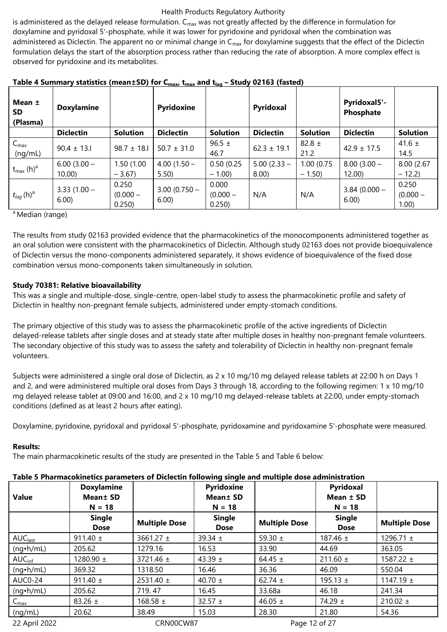is administered as the delayed release formulation.  $C_{\text{max}}$  was not greatly affected by the difference in formulation for doxylamine and pyridoxal 5'-phosphate, while it was lower for pyridoxine and pyridoxal when the combination was administered as Diclectin. The apparent no or minimal change in  $C_{\text{max}}$  for doxylamine suggests that the effect of the Diclectin formulation delays the start of the absorption process rather than reducing the rate of absorption. A more complex effect is observed for pyridoxine and its metabolites.

| Mean ±<br>SD.<br>(Plasma)         | <b>Doxylamine</b>       |                               | Pyridoxine             |                               | Pyridoxal                 |                       | Pyridoxal5'-<br>Phosphate |                                 |
|-----------------------------------|-------------------------|-------------------------------|------------------------|-------------------------------|---------------------------|-----------------------|---------------------------|---------------------------------|
|                                   | <b>Diclectin</b>        | <b>Solution</b>               | <b>Diclectin</b>       | Solution                      | <b>Diclectin</b>          | <b>Solution</b>       | <b>Diclectin</b>          | <b>Solution</b>                 |
| $C_{\text{max}}$<br>(nq/mL)       | $90.4 \pm 13.1$         | $98.7 \pm 18.1$               | $50.7 \pm 31.0$        | 96.5 $\pm$<br>46.7            | $62.3 \pm 19.1$           | 82.8 $\pm$<br>21.2    | $42.9 \pm 17.5$           | 41.6 $\pm$<br>14.5              |
| $t_{\text{max}}$ (h) <sup>a</sup> | $6.00(3.00 -$<br>10.00) | 1.50 (1.00<br>$-3.67$         | $4.00(1.50 -$<br>5.50  | 0.50(0.25)<br>$-1.00$         | $5.00(2.33 -$<br>$8.00$ ) | 1.00(0.75)<br>$-1.50$ | $8.00(3.00 -$<br>12.00    | 8.00 (2.67)<br>$-12.2$          |
| $t_{lag}$ (h) <sup>a</sup>        | $3.33(1.00 -$<br>6.00   | 0.250<br>$(0.000 -$<br>0.250) | $3.00(0.750 -$<br>6.00 | 0.000<br>$(0.000 -$<br>0.250) | N/A                       | N/A                   | $3.84(0.000 -$<br>6.00    | 0.250<br>$(0.000 -$<br>$1.00$ ) |

**Table 4 Summary statistics (mean±SD) for Cmax, tmax and tlag – Study 02163 (fasted)**

<sup>a</sup> Median (range)

The results from study 02163 provided evidence that the pharmacokinetics of the monocomponents administered together as an oral solution were consistent with the pharmacokinetics of Diclectin. Although study 02163 does not provide bioequivalence of Diclectin versus the mono-components administered separately, it shows evidence of bioequivalence of the fixed dose combination versus mono-components taken simultaneously in solution.

# **Study 70381: Relative bioavailability**

This was a single and multiple-dose, single-centre, open-label study to assess the pharmacokinetic profile and safety of Diclectin in healthy non-pregnant female subjects, administered under empty-stomach conditions.

The primary objective of this study was to assess the pharmacokinetic profile of the active ingredients of Diclectin delayed-release tablets after single doses and at steady state after multiple doses in healthy non-pregnant female volunteers. The secondary objective of this study was to assess the safety and tolerability of Diclectin in healthy non-pregnant female volunteers.

Subjects were administered a single oral dose of Diclectin, as 2 x 10 mg/10 mg delayed release tablets at 22:00 h on Days 1 and 2, and were administered multiple oral doses from Days 3 through 18, according to the following regimen: 1 x 10 mg/10 mg delayed release tablet at 09:00 and 16:00, and 2 x 10 mg/10 mg delayed-release tablets at 22:00, under empty-stomach conditions (defined as at least 2 hours after eating).

Doxylamine, pyridoxine, pyridoxal and pyridoxal 5'-phosphate, pyridoxamine and pyridoxamine 5'-phosphate were measured.

# **Results:**

The main pharmacokinetic results of the study are presented in the Table 5 and Table 6 below:

# **Table 5 Pharmacokinetics parameters of Diclectin following single and multiple dose administration**

|                     | Table 5 Pharmacokinetics parameters of Diclectin following single and multiple dose administration |                      |                      |                      |               |                      |
|---------------------|----------------------------------------------------------------------------------------------------|----------------------|----------------------|----------------------|---------------|----------------------|
|                     | <b>Doxylamine</b>                                                                                  |                      | Pyridoxine           |                      | Pyridoxal     |                      |
| <b>Value</b>        | Mean ± SD                                                                                          |                      | Mean <sup>±</sup> SD |                      | Mean $\pm$ SD |                      |
|                     | $N = 18$                                                                                           |                      | $N = 18$             |                      | $N = 18$      |                      |
|                     | <b>Single</b>                                                                                      | <b>Multiple Dose</b> | <b>Single</b>        | <b>Multiple Dose</b> | <b>Single</b> | <b>Multiple Dose</b> |
|                     | <b>Dose</b>                                                                                        |                      | <b>Dose</b>          |                      | <b>Dose</b>   |                      |
| AUC <sub>last</sub> | 911.40 $\pm$                                                                                       | 3661.27 $\pm$        | 39.34 $\pm$          | 59.30 $\pm$          | 187.46 $\pm$  | 1296.71 $\pm$        |
| $(nq \cdot h/mL)$   | 205.62                                                                                             | 1279.16              | 16.53                | 33.90                | 44.69         | 363.05               |
| AUC <sub>inf</sub>  | 1280.90 $\pm$                                                                                      | 3721.46 $\pm$        | 43.39 $\pm$          | 64.45 $\pm$          | 211.60 $\pm$  | 1587.22 $\pm$        |
| $(nq \cdot h/mL)$   | 369.32                                                                                             | 1318.50              | 16.46                | 36.36                | 46.09         | 550.04               |
| AUC0-24             | 911.40 $\pm$                                                                                       | $2531.40 \pm$        | 40.70 $\pm$          | 62.74 $\pm$          | 195.13 $\pm$  | 1147.19 $\pm$        |
| $(nq\cdot h/mL)$    | 205.62                                                                                             | 719.47               | 16.45                | 33.68a               | 46.18         | 241.34               |
| $C_{\text{max}}$    | 83.26 $\pm$                                                                                        | 168.58 $\pm$         | 32.57 $\pm$          | 46.05 $\pm$          | 74.29 ±       | $210.02 \pm$         |
| (ng/mL)             | 20.62                                                                                              | 38.49                | 15.03                | 28.30                | 21.80         | 54.36                |
| 22 April 2022       |                                                                                                    | CRN00CW87            |                      | Page 12 of 27        |               |                      |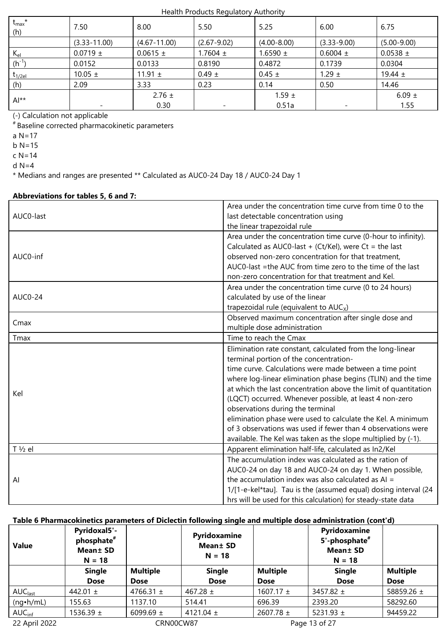| $t_{\text{max}}$ *<br>(h) | 7.50             | 8.00             | 5.50            | 5.25            | 6.00            | 6.75            |
|---------------------------|------------------|------------------|-----------------|-----------------|-----------------|-----------------|
|                           | $(3.33 - 11.00)$ | $(4.67 - 11.00)$ | $(2.67 - 9.02)$ | $(4.00 - 8.00)$ | $(3.33 - 9.00)$ | $(5.00 - 9.00)$ |
| $K_{el}$                  | $0.0719 \pm$     | $0.0615 \pm$     | 1.7604 $\pm$    | $1.6590 \pm$    | $0.6004 \pm$    | $0.0538 \pm$    |
| $(h^{-1})$                | 0.0152           | 0.0133           | 0.8190          | 0.4872          | 0.1739          | 0.0304          |
| $t_{1/2el}$               | 10.05 $\pm$      | 11.91 $\pm$      | $0.49 \pm$      | $0.45 \pm$      | $1.29 \pm$      | 19.44 $\pm$     |
| (h)                       | 2.09             | 3.33             | 0.23            | 0.14            | 0.50            | 14.46           |
| $Al**$                    |                  | $2.76 \pm$       |                 | $1.59 \pm$      |                 | 6.09 $\pm$      |
|                           |                  | 0.30             |                 | 0.51a           |                 | 1.55            |

(-) Calculation not applicable

# Baseline corrected pharmacokinetic parameters

a N=17

 $b$  N=15

c N=14

d N=4

\* Medians and ranges are presented \*\* Calculated as AUC0-24 Day 18 / AUC0-24 Day 1

# **Abbreviations for tables 5, 6 and 7:**

| AUC0-last         | Area under the concentration time curve from time 0 to the<br>last detectable concentration using |
|-------------------|---------------------------------------------------------------------------------------------------|
|                   | the linear trapezoidal rule                                                                       |
|                   | Area under the concentration time curve (0-hour to infinity).                                     |
|                   | Calculated as AUC0-last + (Ct/Kel), were Ct = the last                                            |
| AUC0-inf          | observed non-zero concentration for that treatment,                                               |
|                   | AUC0-last =the AUC from time zero to the time of the last                                         |
|                   | non-zero concentration for that treatment and Kel.                                                |
|                   | Area under the concentration time curve (0 to 24 hours)                                           |
| <b>AUC0-24</b>    | calculated by use of the linear                                                                   |
|                   | trapezoidal rule (equivalent to $AUCx$ )                                                          |
| Cmax              | Observed maximum concentration after single dose and                                              |
|                   | multiple dose administration                                                                      |
| Tmax              | Time to reach the Cmax                                                                            |
|                   | Elimination rate constant, calculated from the long-linear                                        |
|                   | terminal portion of the concentration-                                                            |
|                   | time curve. Calculations were made between a time point                                           |
|                   | where log-linear elimination phase begins (TLIN) and the time                                     |
| Kel               | at which the last concentration above the limit of quantitation                                   |
|                   | (LQCT) occurred. Whenever possible, at least 4 non-zero                                           |
|                   | observations during the terminal                                                                  |
|                   | elimination phase were used to calculate the Kel. A minimum                                       |
|                   | of 3 observations was used if fewer than 4 observations were                                      |
|                   | available. The Kel was taken as the slope multiplied by (-1).                                     |
| $T\frac{1}{2}$ el | Apparent elimination half-life, calculated as In2/Kel                                             |
|                   | The accumulation index was calculated as the ration of                                            |
|                   | AUC0-24 on day 18 and AUC0-24 on day 1. When possible,                                            |
| Al                | the accumulation index was also calculated as $AI =$                                              |
|                   | 1/[1-e-kel*tau]. Tau is the (assumed equal) dosing interval (24                                   |
|                   | hrs will be used for this calculation) for steady-state data                                      |

### **Table 6 Pharmacokinetics parameters of Diclectin following single and multiple dose administration (cont'd)**

| <b>Value</b>        | Pyridoxal5'-<br>phosphate <sup>#</sup><br><b>Mean</b> ± SD<br>$N = 18$ |                 | Pyridoxamine<br>Mean ± SD<br>$N = 18$ |                 | Pyridoxamine<br>5'-phosphate <sup>#</sup><br><b>Mean</b> ± SD<br>$N = 18$ |                 |
|---------------------|------------------------------------------------------------------------|-----------------|---------------------------------------|-----------------|---------------------------------------------------------------------------|-----------------|
|                     | <b>Single</b>                                                          | <b>Multiple</b> | <b>Single</b>                         | <b>Multiple</b> | <b>Single</b>                                                             | <b>Multiple</b> |
|                     | <b>Dose</b>                                                            | <b>Dose</b>     | <b>Dose</b>                           | <b>Dose</b>     | <b>Dose</b>                                                               | <b>Dose</b>     |
| AUC <sub>last</sub> | 442.01 $\pm$                                                           | 4766.31 $\pm$   | 467.28 $\pm$                          | $1607.17 \pm$   | 3457.82 $\pm$                                                             | 58859.26 ±      |
| $(nq \cdot h/mL)$   | 155.63                                                                 | 1137.10         | 514.41                                | 696.39          | 2393.20                                                                   | 58292.60        |
| AUC <sub>inf</sub>  | $1536.39 \pm$                                                          | 6099.69 $\pm$   | 4121.04 $\pm$                         | 2607.78 $\pm$   | 5231.93 $\pm$                                                             | 94459.22        |
| 22 April 2022       |                                                                        | CRN00CW87       |                                       |                 | Page 13 of 27                                                             |                 |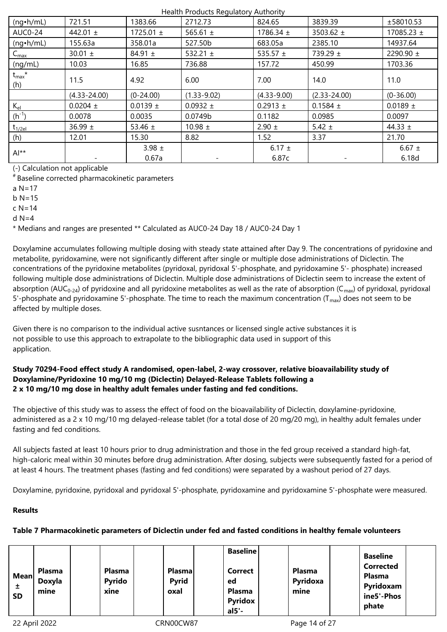| $(nq \cdot h/mL)$           | 721.51           | 1383.66       | 2712.73         | 824.65          | 3839.39          | ±58010.53      |
|-----------------------------|------------------|---------------|-----------------|-----------------|------------------|----------------|
| <b>AUC0-24</b>              | 442.01 $\pm$     | 1725.01 $\pm$ | 565.61 $\pm$    | 1786.34 $\pm$   | 3503.62 $\pm$    | 17085.23 $\pm$ |
| $(nq \cdot h/mL)$           | 155.63a          | 358.01a       | 527.50b         | 683.05a         | 2385.10          | 14937.64       |
| $\mathsf{C}_{\mathsf{max}}$ | 30.01 $\pm$      | 84.91 $\pm$   | 532.21 $\pm$    | 535.57 $\pm$    | 739.29 $\pm$     | 2290.90 ±      |
| (ng/mL)                     | 10.03            | 16.85         | 736.88          | 157.72          | 450.99           | 1703.36        |
| $t_{\text{max}}$ *<br>(h)   | 11.5             | 4.92          | 6.00            | 7.00            | 14.0             | 11.0           |
|                             |                  |               |                 |                 |                  |                |
|                             | $(4.33 - 24.00)$ | $(0-24.00)$   | $(1.33 - 9.02)$ | $(4.33 - 9.00)$ | $(2.33 - 24.00)$ | $(0-36.00)$    |
| $K_{el}$                    | $0.0204 \pm$     | $0.0139 \pm$  | $0.0932 \pm$    | $0.2913 \pm$    | 0.1584 $\pm$     | $0.0189 \pm$   |
| $(h^{-1})$                  | 0.0078           | 0.0035        | 0.0749b         | 0.1182          | 0.0985           | 0.0097         |
| $t_{1/2el}$                 | 36.99 $\pm$      | 53.46 $\pm$   | 10.98 $\pm$     | $2.90 \pm$      | 5.42 $\pm$       | 44.33 $\pm$    |
| (h)                         | 12.01            | 15.30         | 8.82            | 1.52            | 3.37             | 21.70          |
| $Al**$                      |                  | 3.98 $\pm$    |                 | 6.17 $\pm$      |                  | 6.67 $\pm$     |

(-) Calculation not applicable

# Baseline corrected pharmacokinetic parameters

a  $N=17$ 

b  $N=15$ 

c N=14

 $d$  N=4

\* Medians and ranges are presented \*\* Calculated as AUC0-24 Day 18 / AUC0-24 Day 1

Doxylamine accumulates following multiple dosing with steady state attained after Day 9. The concentrations of pyridoxine and metabolite, pyridoxamine, were not significantly different after single or multiple dose administrations of Diclectin. The concentrations of the pyridoxine metabolites (pyridoxal, pyridoxal 5'-phosphate, and pyridoxamine 5'- phosphate) increased following multiple dose administrations of Diclectin. Multiple dose administrations of Diclectin seem to increase the extent of absorption (AUC<sub>0-24</sub>) of pyridoxine and all pyridoxine metabolites as well as the rate of absorption (C<sub>max</sub>) of pyridoxal, pyridoxal 5'-phosphate and pyridoxamine 5'-phosphate. The time to reach the maximum concentration (T<sub>max</sub>) does not seem to be affected by multiple doses.

Given there is no comparison to the individual active susntances or licensed single active substances it is not possible to use this approach to extrapolate to the bibliographic data used in support of this application.

# **Study 70294-Food effect study A randomised, open-label, 2-way crossover, relative bioavailability study of Doxylamine/Pyridoxine 10 mg/10 mg (Diclectin) Delayed-Release Tablets following a 2 x 10 mg/10 mg dose in healthy adult females under fasting and fed conditions.**

The objective of this study was to assess the effect of food on the bioavailability of Diclectin, doxylamine-pyridoxine, administered as a 2 x 10 mg/10 mg delayed-release tablet (for a total dose of 20 mg/20 mg), in healthy adult females under fasting and fed conditions.

All subjects fasted at least 10 hours prior to drug administration and those in the fed group received a standard high-fat, high-caloric meal within 30 minutes before drug administration. After dosing, subjects were subsequently fasted for a period of at least 4 hours. The treatment phases (fasting and fed conditions) were separated by a washout period of 27 days.

Doxylamine, pyridoxine, pyridoxal and pyridoxal 5'-phosphate, pyridoxamine and pyridoxamine 5'-phosphate were measured.

# **Results**

# **Table 7 Pharmacokinetic parameters of Diclectin under fed and fasted conditions in healthy female volunteers**

| <b>Mean</b><br>±<br><b>SD</b> | Plasma<br>Doxyla<br>mine |  | <b>Plasma</b><br><b>Pyrido</b><br>xine |  | <b>Plasma</b><br><b>Pyrid</b><br>oxal |  | <b>Baseline</b><br>Correct<br>ed<br><b>Plasma</b><br><b>Pyridox</b><br>$al5'$ - |  | <b>Plasma</b><br>Pyridoxa<br>mine |  | <b>Baseline</b><br><b>Corrected</b><br><b>Plasma</b><br>Pyridoxam<br>ine5'-Phos<br>phate |  |
|-------------------------------|--------------------------|--|----------------------------------------|--|---------------------------------------|--|---------------------------------------------------------------------------------|--|-----------------------------------|--|------------------------------------------------------------------------------------------|--|
|-------------------------------|--------------------------|--|----------------------------------------|--|---------------------------------------|--|---------------------------------------------------------------------------------|--|-----------------------------------|--|------------------------------------------------------------------------------------------|--|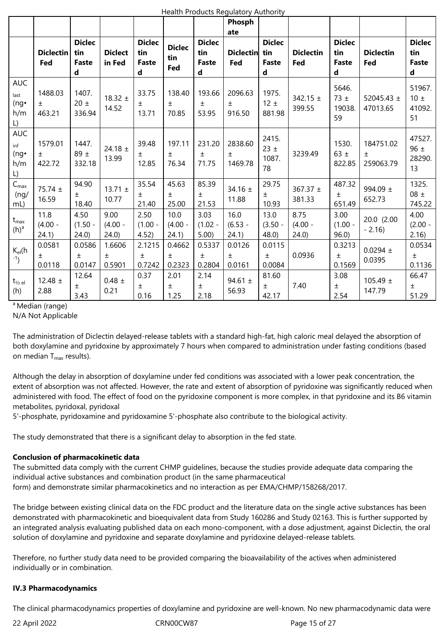|                                                         |                            |                                           |                           |                                           |                             |                                           | Phosph<br>ate               |                                                     |                           |                                           |                                 |                                           |
|---------------------------------------------------------|----------------------------|-------------------------------------------|---------------------------|-------------------------------------------|-----------------------------|-------------------------------------------|-----------------------------|-----------------------------------------------------|---------------------------|-------------------------------------------|---------------------------------|-------------------------------------------|
|                                                         | <b>Diclectin</b><br>Fed    | <b>Diclec</b><br>tin<br><b>Faste</b><br>d | <b>Diclect</b><br>in Fed  | <b>Diclec</b><br>tin<br><b>Faste</b><br>d | <b>Diclec</b><br>tin<br>Fed | <b>Diclec</b><br>tin<br><b>Faste</b><br>d | <b>Diclectin</b><br>Fed     | <b>Diclec</b><br>tin<br><b>Faste</b><br>$\mathbf d$ | <b>Diclectin</b><br>Fed   | <b>Diclec</b><br>tin<br><b>Faste</b><br>d | <b>Diclectin</b><br>Fed         | <b>Diclec</b><br>tin<br><b>Faste</b><br>d |
| <b>AUC</b><br>last<br>$(ng\cdot$<br>h/m<br>L)           | 1488.03<br>$\pm$<br>463.21 | 1407.<br>20 $\pm$<br>336.94               | 18.32 $\pm$<br>14.52      | 33.75<br>$\pm$<br>13.71                   | 138.40<br>$\pm$<br>70.85    | 193.66<br>土<br>53.95                      | 2096.63<br>$\pm$<br>916.50  | 1975.<br>$12 \pm$<br>881.98                         | 342.15 $\pm$<br>399.55    | 5646.<br>73 $\pm$<br>19038.<br>59         | 52045.43 ±<br>47013.65          | 51967.<br>$10 \pm$<br>41092.<br>51        |
| <b>AUC</b><br>inf<br>$(ng\cdot$<br>h/m<br>$\mathsf{L})$ | 1579.01<br>$\pm$<br>422.72 | 1447.<br>89 $\pm$<br>332.18               | 24.18 $\pm$<br>13.99      | 39.48<br>Ŧ.<br>12.85                      | 197.11<br>$\pm$<br>76.34    | 231.20<br>Ŧ<br>71.75                      | 2838.60<br>$\pm$<br>1469.78 | 2415.<br>$23 \pm$<br>1087.<br>78                    | 3239.49                   | 1530.<br>63 $\pm$<br>822.85               | 184751.02<br>$\pm$<br>259063.79 | 47527.<br>96 $\pm$<br>28290.<br>13        |
| $C_{\text{max}}$<br>(ng/<br>$mL$ )                      | 75.74 ±<br>16.59           | 94.90<br>$\pm$<br>18.40                   | 13.71 $\pm$<br>10.77      | 35.54<br>$\pm$<br>21.40                   | 45.63<br>$\pm$<br>25.00     | 85.39<br>$\pm$<br>21.53                   | 34.16 $\pm$<br>11.88        | 29.75<br>$\pm$<br>10.93                             | 367.37 $\pm$<br>381.33    | 487.32<br>$\pm$<br>651.49                 | 994.09 $\pm$<br>652.73          | 1325.<br>$08 \pm$<br>745.22               |
| $t_{\sf max}$<br>$(h)^a$                                | 11.8<br>$(4.00 -$<br>24.1) | 4.50<br>$(1.50 -$<br>24.0                 | 9.00<br>$(4.00 -$<br>24.0 | 2.50<br>$(1.00 -$<br>4.52)                | 10.0<br>$(4.00 -$<br>24.1)  | 3.03<br>$(1.02 -$<br>5.00                 | 16.0<br>$(6.53 -$<br>24.1)  | 13.0<br>$(3.50 -$<br>48.0                           | 8.75<br>$(4.00 -$<br>24.0 | 3.00<br>$(1.00 -$<br>96.0                 | 20.0 (2.00<br>$-2.16$           | 4.00<br>$(2.00 -$<br>2.16)                |
| $K_{el}(h)$<br>$-1$                                     | 0.0581<br>$\pm$<br>0.0118  | 0.0586<br>$\pm$<br>0.0147                 | 1.6606<br>$\pm$<br>0.5901 | 2.1215<br>土<br>0.7242                     | 0.4662<br>$\pm$<br>0.2323   | 0.5337<br>$\pm$<br>0.2804                 | 0.0126<br>$\pm$<br>0.0161   | 0.0115<br>$\pm$<br>0.0084                           | 0.0936                    | 0.3213<br>$\pm$<br>0.1569                 | $0.0294 \pm$<br>0.0395          | 0.0534<br>$\pm$<br>0.1136                 |
| $t_{\frac{1}{2}el}$<br>(h)                              | 12.48 $\pm$<br>2.88        | 12.64<br>土<br>3.43                        | $0.48 \pm$<br>0.21        | 0.37<br>Ŧ<br>0.16                         | 2.01<br>土<br>1.25           | 2.14<br>$\pm$<br>2.18                     | 94.61 $\pm$<br>56.93        | 81.60<br>$\pm$<br>42.17                             | 7.40                      | 3.08<br>$\pm$<br>2.54                     | $105.49 \pm$<br>147.79          | 66.47<br>土<br>51.29                       |

<sup>a</sup> Median (range)

N/A Not Applicable

The administration of Diclectin delayed-release tablets with a standard high-fat, high caloric meal delayed the absorption of both doxylamine and pyridoxine by approximately 7 hours when compared to administration under fasting conditions (based on median  $T_{\text{max}}$  results).

Although the delay in absorption of doxylamine under fed conditions was associated with a lower peak concentration, the extent of absorption was not affected. However, the rate and extent of absorption of pyridoxine was significantly reduced when administered with food. The effect of food on the pyridoxine component is more complex, in that pyridoxine and its B6 vitamin metabolites, pyridoxal, pyridoxal

5'-phosphate, pyridoxamine and pyridoxamine 5'-phosphate also contribute to the biological activity.

The study demonstrated that there is a significant delay to absorption in the fed state.

### **Conclusion of pharmacokinetic data**

The submitted data comply with the current CHMP guidelines, because the studies provide adequate data comparing the individual active substances and combination product (in the same pharmaceutical form) and demonstrate similar pharmacokinetics and no interaction as per EMA/CHMP/158268/2017.

The bridge between existing clinical data on the FDC product and the literature data on the single active substances has been demonstrated with pharmacokinetic and bioequivalent data from Study 160286 and Study 02163. This is further supported by an integrated analysis evaluating published data on each mono-component, with a dose adjustment, against Diclectin, the oral solution of doxylamine and pyridoxine and separate doxylamine and pyridoxine delayed-release tablets.

Therefore, no further study data need to be provided comparing the bioavailability of the actives when administered individually or in combination.

### **IV.3 Pharmacodynamics**

The clinical pharmacodynamics properties of doxylamine and pyridoxine are well-known. No new pharmacodynamic data were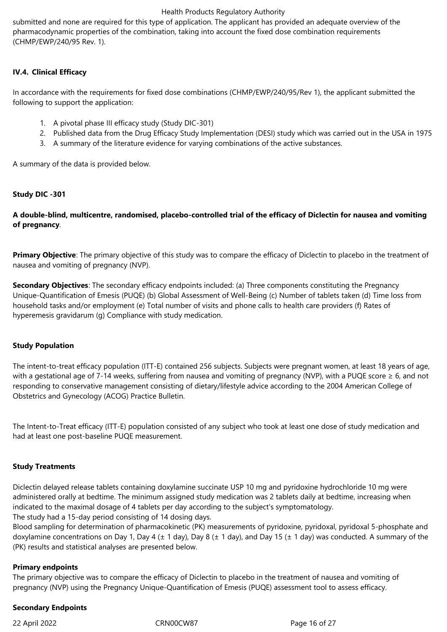submitted and none are required for this type of application. The applicant has provided an adequate overview of the pharmacodynamic properties of the combination, taking into account the fixed dose combination requirements (CHMP/EWP/240/95 Rev. 1).

# **IV.4. Clinical Efficacy**

In accordance with the requirements for fixed dose combinations (CHMP/EWP/240/95/Rev 1), the applicant submitted the following to support the application:

- 1. A pivotal phase III efficacy study (Study DIC-301)
- 2. Published data from the Drug Efficacy Study Implementation (DESI) study which was carried out in the USA in 1975
- 3. A summary of the literature evidence for varying combinations of the active substances.

A summary of the data is provided below.

### **Study DIC -301**

# **A double-blind, multicentre, randomised, placebo-controlled trial of the efficacy of Diclectin for nausea and vomiting of pregnancy**.

**Primary Objective**: The primary objective of this study was to compare the efficacy of Diclectin to placebo in the treatment of nausea and vomiting of pregnancy (NVP).

**Secondary Objectives**: The secondary efficacy endpoints included: (a) Three components constituting the Pregnancy Unique-Quantification of Emesis (PUQE) (b) Global Assessment of Well-Being (c) Number of tablets taken (d) Time loss from household tasks and/or employment (e) Total number of visits and phone calls to health care providers (f) Rates of hyperemesis gravidarum (g) Compliance with study medication.

### **Study Population**

The intent-to-treat efficacy population (ITT-E) contained 256 subjects. Subjects were pregnant women, at least 18 years of age, with a gestational age of 7-14 weeks, suffering from nausea and vomiting of pregnancy (NVP), with a PUQE score  $\geq 6$ , and not responding to conservative management consisting of dietary/lifestyle advice according to the 2004 American College of Obstetrics and Gynecology (ACOG) Practice Bulletin.

The Intent-to-Treat efficacy (ITT-E) population consisted of any subject who took at least one dose of study medication and had at least one post-baseline PUQE measurement.

### **Study Treatments**

Diclectin delayed release tablets containing doxylamine succinate USP 10 mg and pyridoxine hydrochloride 10 mg were administered orally at bedtime. The minimum assigned study medication was 2 tablets daily at bedtime, increasing when indicated to the maximal dosage of 4 tablets per day according to the subject's symptomatology.

The study had a 15-day period consisting of 14 dosing days.

Blood sampling for determination of pharmacokinetic (PK) measurements of pyridoxine, pyridoxal, pyridoxal 5-phosphate and doxylamine concentrations on Day 1, Day 4 ( $\pm$  1 day), Day 8 ( $\pm$  1 day), and Day 15 ( $\pm$  1 day) was conducted. A summary of the (PK) results and statistical analyses are presented below.

### **Primary endpoints**

The primary objective was to compare the efficacy of Diclectin to placebo in the treatment of nausea and vomiting of pregnancy (NVP) using the Pregnancy Unique-Quantification of Emesis (PUQE) assessment tool to assess efficacy.

### **Secondary Endpoints**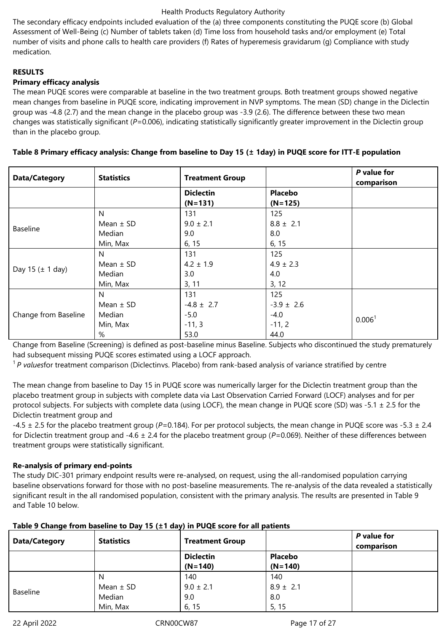The secondary efficacy endpoints included evaluation of the (a) three components constituting the PUQE score (b) Global Assessment of Well-Being (c) Number of tablets taken (d) Time loss from household tasks and/or employment (e) Total number of visits and phone calls to health care providers (f) Rates of hyperemesis gravidarum (g) Compliance with study medication.

# **RESULTS**

# **Primary efficacy analysis**

The mean PUQE scores were comparable at baseline in the two treatment groups. Both treatment groups showed negative mean changes from baseline in PUQE score, indicating improvement in NVP symptoms. The mean (SD) change in the Diclectin group was -4.8 (2.7) and the mean change in the placebo group was -3.9 (2.6). The difference between these two mean changes was statistically significant (*P*=0.006), indicating statistically significantly greater improvement in the Diclectin group than in the placebo group.

| <b>Data/Category</b> | <b>Statistics</b>                              | <b>Treatment Group</b>                              |                                                     | P value for<br>comparison |
|----------------------|------------------------------------------------|-----------------------------------------------------|-----------------------------------------------------|---------------------------|
|                      |                                                | <b>Diclectin</b><br>$(N=131)$                       | <b>Placebo</b><br>$(N=125)$                         |                           |
| Baseline             | N<br>Mean $\pm$ SD<br>Median<br>Min, Max       | 131<br>$9.0 \pm 2.1$<br>9.0<br>6, 15                | 125<br>$8.8 \pm 2.1$<br>8.0<br>6, 15                |                           |
| Day 15 $(\pm 1$ day) | N<br>Mean $\pm$ SD<br>Median<br>Min, Max       | 131<br>$4.2 \pm 1.9$<br>3.0<br>3, 11                | 125<br>$4.9 \pm 2.3$<br>4.0<br>3, 12                |                           |
| Change from Baseline | N.<br>Mean $\pm$ SD<br>Median<br>Min, Max<br>% | 131<br>$-4.8 \pm 2.7$<br>$-5.0$<br>$-11, 3$<br>53.0 | 125<br>$-3.9 \pm 2.6$<br>$-4.0$<br>$-11, 2$<br>44.0 | 0.006 <sup>1</sup>        |

### **Table 8 Primary efficacy analysis: Change from baseline to Day 15 (± 1day) in PUQE score for ITT-E population**

Change from Baseline (Screening) is defined as post-baseline minus Baseline. Subjects who discontinued the study prematurely had subsequent missing PUQE scores estimated using a LOCF approach.

<sup>1</sup>*P values*for treatment comparison (Diclectinvs. Placebo) from rank-based analysis of variance stratified by centre

The mean change from baseline to Day 15 in PUQE score was numerically larger for the Diclectin treatment group than the placebo treatment group in subjects with complete data via Last Observation Carried Forward (LOCF) analyses and for per protocol subjects. For subjects with complete data (using LOCF), the mean change in PUQE score (SD) was -5.1  $\pm$  2.5 for the Diclectin treatment group and

-4.5 ± 2.5 for the placebo treatment group (*P*=0.184). For per protocol subjects, the mean change in PUQE score was -5.3 ± 2.4 for Diclectin treatment group and -4.6 ± 2.4 for the placebo treatment group (*P*=0.069). Neither of these differences between treatment groups were statistically significant.

# **Re-analysis of primary end-points**

The study DIC-301 primary endpoint results were re-analysed, on request, using the all-randomised population carrying baseline observations forward for those with no post-baseline measurements. The re-analysis of the data revealed a statistically significant result in the all randomised population, consistent with the primary analysis. The results are presented in Table 9 and Table 10 below.

|                 | $1.00010 + 0.10011910 + 0.000011110 + 0.00011110 + 0.0001111110 + 0.000110 + 0.000110 + 0.000110 + 0.000110 + 0.000110 + 0.000110 + 0.000110 + 0.000110 + 0.000110 + 0.000110 + 0.000110 + 0.000110 + 0.000110 + 0.000110 + 0.000110 + 0.000110 + $ |                        |                |                           |
|-----------------|-----------------------------------------------------------------------------------------------------------------------------------------------------------------------------------------------------------------------------------------------------|------------------------|----------------|---------------------------|
| Data/Category   | <b>Statistics</b>                                                                                                                                                                                                                                   | <b>Treatment Group</b> |                | P value for<br>comparison |
|                 |                                                                                                                                                                                                                                                     | <b>Diclectin</b>       | <b>Placebo</b> |                           |
|                 |                                                                                                                                                                                                                                                     | $(N=140)$              | $(N=140)$      |                           |
|                 |                                                                                                                                                                                                                                                     | 140                    | 140            |                           |
|                 | Mean $\pm$ SD                                                                                                                                                                                                                                       | $9.0 \pm 2.1$          | $8.9 \pm 2.1$  |                           |
| <b>Baseline</b> | Median                                                                                                                                                                                                                                              | 9.0                    | 8.0            |                           |
|                 | Min, Max                                                                                                                                                                                                                                            | 6, 15                  | 5, 15          |                           |

# **Table 9 Change from baseline to Day 15 (±1 day) in PUQE score for all patients**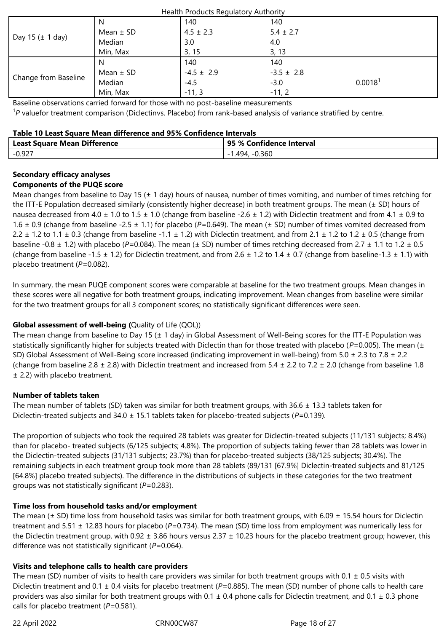| Health Products Regulatory Authority |               |                |                |                     |  |
|--------------------------------------|---------------|----------------|----------------|---------------------|--|
|                                      | N             | 140            | 140            |                     |  |
|                                      | Mean $\pm$ SD | $4.5 \pm 2.3$  | $5.4 \pm 2.7$  |                     |  |
| Day 15 $(\pm 1$ day)                 | Median        | 3.0            | 4.0            |                     |  |
|                                      | Min, Max      | 3, 15          | 3, 13          |                     |  |
|                                      | N             | 140            | 140            |                     |  |
|                                      | Mean $\pm$ SD | $-4.5 \pm 2.9$ | $-3.5 \pm 2.8$ |                     |  |
| Change from Baseline                 | Median        | $-4.5$         | $-3.0$         | 0.0018 <sup>1</sup> |  |
|                                      | Min, Max      | $-11, 3$       | $-11, 2$       |                     |  |

Baseline observations carried forward for those with no post-baseline measurements

<sup>1</sup>P valuefor treatment comparison (Diclectinvs. Placebo) from rank-based analysis of variance stratified by centre.

### **Table 10 Least Square Mean difference and 95% Confidence Intervals**

| <b>Least Square Mean Difference</b> | 95 % Confidence Interval |
|-------------------------------------|--------------------------|
| $-0.927$                            | -0.360<br>.494.          |

# **Secondary efficacy analyses**

# **Components of the PUQE score**

Mean changes from baseline to Day 15 ( $\pm$  1 day) hours of nausea, number of times vomiting, and number of times retching for the ITT-E Population decreased similarly (consistently higher decrease) in both treatment groups. The mean (± SD) hours of nausea decreased from 4.0  $\pm$  1.0 to 1.5  $\pm$  1.0 (change from baseline -2.6  $\pm$  1.2) with Diclectin treatment and from 4.1  $\pm$  0.9 to 1.6 ± 0.9 (change from baseline -2.5 ± 1.1) for placebo (*P=*0.649). The mean (± SD) number of times vomited decreased from 2.2  $\pm$  1.2 to 1.1  $\pm$  0.3 (change from baseline -1.1  $\pm$  1.2) with Diclectin treatment, and from 2.1  $\pm$  1.2 to 1.2  $\pm$  0.5 (change from baseline -0.8 ± 1.2) with placebo (*P=*0.084). The mean (± SD) number of times retching decreased from 2.7 ± 1.1 to 1.2 ± 0.5 (change from baseline -1.5  $\pm$  1.2) for Diclectin treatment, and from 2.6  $\pm$  1.2 to 1.4  $\pm$  0.7 (change from baseline-1.3  $\pm$  1.1) with placebo treatment (*P=*0.082).

In summary, the mean PUQE component scores were comparable at baseline for the two treatment groups. Mean changes in these scores were all negative for both treatment groups, indicating improvement. Mean changes from baseline were similar for the two treatment groups for all 3 component scores; no statistically significant differences were seen.

# **Global assessment of well-being (**Quality of Life (QOL))

The mean change from baseline to Day 15 ( $\pm$  1 day) in Global Assessment of Well-Being scores for the ITT-E Population was statistically significantly higher for subjects treated with Diclectin than for those treated with placebo (*P*=0.005). The mean (± SD) Global Assessment of Well-Being score increased (indicating improvement in well-being) from 5.0  $\pm$  2.3 to 7.8  $\pm$  2.2 (change from baseline 2.8  $\pm$  2.8) with Diclectin treatment and increased from 5.4  $\pm$  2.2 to 7.2  $\pm$  2.0 (change from baseline 1.8 ± 2.2) with placebo treatment.

# **Number of tablets taken**

The mean number of tablets (SD) taken was similar for both treatment groups, with  $36.6 \pm 13.3$  tablets taken for Diclectin-treated subjects and 34.0 ± 15.1 tablets taken for placebo-treated subjects (*P*=0.139).

The proportion of subjects who took the required 28 tablets was greater for Diclectin-treated subjects (11/131 subjects; 8.4%) than for placebo- treated subjects (6/125 subjects; 4.8%). The proportion of subjects taking fewer than 28 tablets was lower in the Diclectin-treated subjects (31/131 subjects; 23.7%) than for placebo-treated subjects (38/125 subjects; 30.4%). The remaining subjects in each treatment group took more than 28 tablets (89/131 [67.9%] Diclectin-treated subjects and 81/125 [64.8%] placebo treated subjects). The difference in the distributions of subjects in these categories for the two treatment groups was not statistically significant (*P*=0.283).

# **Time loss from household tasks and/or employment**

The mean ( $\pm$  SD) time loss from household tasks was similar for both treatment groups, with 6.09  $\pm$  15.54 hours for Diclectin treatment and 5.51  $\pm$  12.83 hours for placebo (P=0.734). The mean (SD) time loss from employment was numerically less for the Diclectin treatment group, with  $0.92 \pm 3.86$  hours versus  $2.37 \pm 10.23$  hours for the placebo treatment group; however, this difference was not statistically significant (*P*=0.064).

# **Visits and telephone calls to health care providers**

The mean (SD) number of visits to health care providers was similar for both treatment groups with  $0.1 \pm 0.5$  visits with Diclectin treatment and 0.1 ± 0.4 visits for placebo treatment (*P=*0.885). The mean (SD) number of phone calls to health care providers was also similar for both treatment groups with 0.1  $\pm$  0.4 phone calls for Diclectin treatment, and 0.1  $\pm$  0.3 phone calls for placebo treatment (*P=*0.581).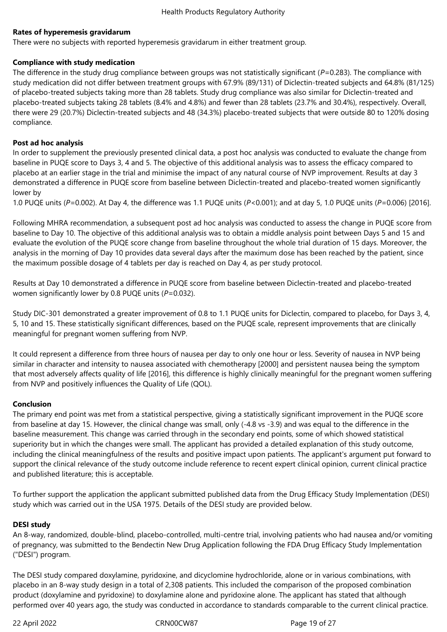### **Rates of hyperemesis gravidarum**

There were no subjects with reported hyperemesis gravidarum in either treatment group.

### **Compliance with study medication**

The difference in the study drug compliance between groups was not statistically significant (*P*=0.283). The compliance with study medication did not differ between treatment groups with 67.9% (89/131) of Diclectin-treated subjects and 64.8% (81/125) of placebo‑treated subjects taking more than 28 tablets. Study drug compliance was also similar for Diclectin-treated and placebo-treated subjects taking 28 tablets (8.4% and 4.8%) and fewer than 28 tablets (23.7% and 30.4%), respectively. Overall, there were 29 (20.7%) Diclectin-treated subjects and 48 (34.3%) placebo-treated subjects that were outside 80 to 120% dosing compliance.

### **Post ad hoc analysis**

In order to supplement the previously presented clinical data, a post hoc analysis was conducted to evaluate the change from baseline in PUQE score to Days 3, 4 and 5. The objective of this additional analysis was to assess the efficacy compared to placebo at an earlier stage in the trial and minimise the impact of any natural course of NVP improvement. Results at day 3 demonstrated a difference in PUQE score from baseline between Diclectin-treated and placebo-treated women significantly lower by

1.0 PUQE units (*P*=0.002). At Day 4, the difference was 1.1 PUQE units (*P*<0.001); and at day 5, 1.0 PUQE units (*P*=0.006) [2016].

Following MHRA recommendation, a subsequent post ad hoc analysis was conducted to assess the change in PUQE score from baseline to Day 10. The objective of this additional analysis was to obtain a middle analysis point between Days 5 and 15 and evaluate the evolution of the PUQE score change from baseline throughout the whole trial duration of 15 days. Moreover, the analysis in the morning of Day 10 provides data several days after the maximum dose has been reached by the patient, since the maximum possible dosage of 4 tablets per day is reached on Day 4, as per study protocol.

Results at Day 10 demonstrated a difference in PUQE score from baseline between Diclectin-treated and placebo-treated women significantly lower by 0.8 PUQE units (*P*=0.032).

Study DIC-301 demonstrated a greater improvement of 0.8 to 1.1 PUQE units for Diclectin, compared to placebo, for Days 3, 4, 5, 10 and 15. These statistically significant differences, based on the PUQE scale, represent improvements that are clinically meaningful for pregnant women suffering from NVP.

It could represent a difference from three hours of nausea per day to only one hour or less. Severity of nausea in NVP being similar in character and intensity to nausea associated with chemotherapy [2000] and persistent nausea being the symptom that most adversely affects quality of life [2016], this difference is highly clinically meaningful for the pregnant women suffering from NVP and positively influences the Quality of Life (QOL).

# **Conclusion**

The primary end point was met from a statistical perspective, giving a statistically significant improvement in the PUQE score from baseline at day 15. However, the clinical change was small, only (-4.8 vs -3.9) and was equal to the difference in the baseline measurement. This change was carried through in the secondary end points, some of which showed statistical superiority but in which the changes were small. The applicant has provided a detailed explanation of this study outcome, including the clinical meaningfulness of the results and positive impact upon patients. The applicant's argument put forward to support the clinical relevance of the study outcome include reference to recent expert clinical opinion, current clinical practice and published literature; this is acceptable.

To further support the application the applicant submitted published data from the Drug Efficacy Study Implementation (DESI) study which was carried out in the USA 1975. Details of the DESI study are provided below.

### **DESI study**

An 8-way, randomized, double-blind, placebo-controlled, multi-centre trial, involving patients who had nausea and/or vomiting of pregnancy, was submitted to the Bendectin New Drug Application following the FDA Drug Efficacy Study Implementation ("DESI") program.

The DESI study compared doxylamine, pyridoxine, and dicyclomine hydrochloride, alone or in various combinations, with placebo in an 8-way study design in a total of 2,308 patients. This included the comparison of the proposed combination product (doxylamine and pyridoxine) to doxylamine alone and pyridoxine alone. The applicant has stated that although performed over 40 years ago, the study was conducted in accordance to standards comparable to the current clinical practice.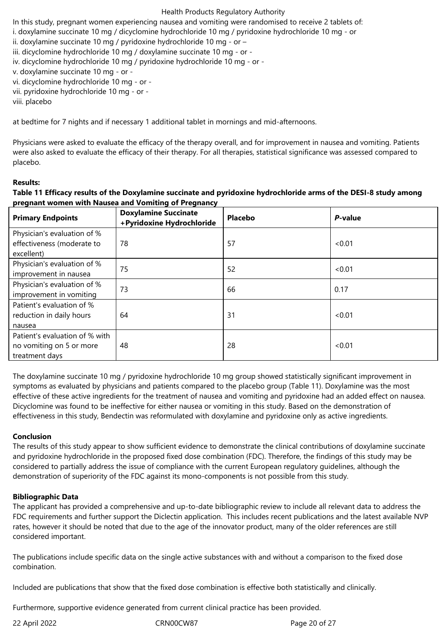In this study, pregnant women experiencing nausea and vomiting were randomised to receive 2 tablets of: i. doxylamine succinate 10 mg / dicyclomine hydrochloride 10 mg / pyridoxine hydrochloride 10 mg - or ii. doxylamine succinate 10 mg / pyridoxine hydrochloride 10 mg - or – iii. dicyclomine hydrochloride 10 mg / doxylamine succinate 10 mg - or iv. dicyclomine hydrochloride 10 mg / pyridoxine hydrochloride 10 mg - or v. doxylamine succinate 10 mg - or vi. dicyclomine hydrochloride 10 mg - or vii. pyridoxine hydrochloride 10 mg - or viii. placebo

at bedtime for 7 nights and if necessary 1 additional tablet in mornings and mid-afternoons.

Physicians were asked to evaluate the efficacy of the therapy overall, and for improvement in nausea and vomiting. Patients were also asked to evaluate the efficacy of their therapy. For all therapies, statistical significance was assessed compared to placebo.

#### **Results:**

**Table 11 Efficacy results of the Doxylamine succinate and pyridoxine hydrochloride arms of the DESI-8 study among pregnant women with Nausea and Vomiting of Pregnancy**

| <b>Primary Endpoints</b>                                                     | <b>Doxylamine Succinate</b><br>+Pyridoxine Hydrochloride | <b>Placebo</b> | P-value |
|------------------------------------------------------------------------------|----------------------------------------------------------|----------------|---------|
| Physician's evaluation of %<br>effectiveness (moderate to<br>excellent)      | 78                                                       | 57             | < 0.01  |
| Physician's evaluation of %<br>improvement in nausea                         | 75                                                       | 52             | < 0.01  |
| Physician's evaluation of %<br>improvement in vomiting                       | 73                                                       | 66             | 0.17    |
| Patient's evaluation of %<br>reduction in daily hours<br>nausea              | 64                                                       | 31             | < 0.01  |
| Patient's evaluation of % with<br>no vomiting on 5 or more<br>treatment days | 48                                                       | 28             | < 0.01  |

The doxylamine succinate 10 mg / pyridoxine hydrochloride 10 mg group showed statistically significant improvement in symptoms as evaluated by physicians and patients compared to the placebo group (Table 11). Doxylamine was the most effective of these active ingredients for the treatment of nausea and vomiting and pyridoxine had an added effect on nausea. Dicyclomine was found to be ineffective for either nausea or vomiting in this study. Based on the demonstration of effectiveness in this study, Bendectin was reformulated with doxylamine and pyridoxine only as active ingredients.

### **Conclusion**

The results of this study appear to show sufficient evidence to demonstrate the clinical contributions of doxylamine succinate and pyridoxine hydrochloride in the proposed fixed dose combination (FDC). Therefore, the findings of this study may be considered to partially address the issue of compliance with the current European regulatory guidelines, although the demonstration of superiority of the FDC against its mono-components is not possible from this study.

### **Bibliographic Data**

The applicant has provided a comprehensive and up-to-date bibliographic review to include all relevant data to address the FDC requirements and further support the Diclectin application. This includes recent publications and the latest available NVP rates, however it should be noted that due to the age of the innovator product, many of the older references are still considered important.

The publications include specific data on the single active substances with and without a comparison to the fixed dose combination.

Included are publications that show that the fixed dose combination is effective both statistically and clinically.

Furthermore, supportive evidence generated from current clinical practice has been provided.

22 April 2022 CRN00CW87 Page 20 of 27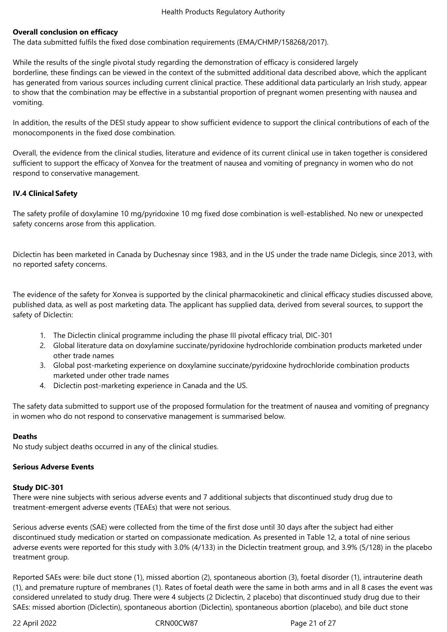### **Overall conclusion on efficacy**

The data submitted fulfils the fixed dose combination requirements (EMA/CHMP/158268/2017).

While the results of the single pivotal study regarding the demonstration of efficacy is considered largely borderline, these findings can be viewed in the context of the submitted additional data described above, which the applicant has generated from various sources including current clinical practice. These additional data particularly an Irish study, appear to show that the combination may be effective in a substantial proportion of pregnant women presenting with nausea and vomiting.

In addition, the results of the DESI study appear to show sufficient evidence to support the clinical contributions of each of the monocomponents in the fixed dose combination.

Overall, the evidence from the clinical studies, literature and evidence of its current clinical use in taken together is considered sufficient to support the efficacy of Xonvea for the treatment of nausea and vomiting of pregnancy in women who do not respond to conservative management.

# **IV.4 Clinical Safety**

The safety profile of doxylamine 10 mg/pyridoxine 10 mg fixed dose combination is well‑established. No new or unexpected safety concerns arose from this application.

Diclectin has been marketed in Canada by Duchesnay since 1983, and in the US under the trade name Diclegis, since 2013, with no reported safety concerns.

The evidence of the safety for Xonvea is supported by the clinical pharmacokinetic and clinical efficacy studies discussed above, published data, as well as post marketing data. The applicant has supplied data, derived from several sources, to support the safety of Diclectin:

- 1. The Diclectin clinical programme including the phase III pivotal efficacy trial, DIC-301
- 2. Global literature data on doxylamine succinate/pyridoxine hydrochloride combination products marketed under other trade names
- 3. Global post-marketing experience on doxylamine succinate/pyridoxine hydrochloride combination products marketed under other trade names
- 4. Diclectin post-marketing experience in Canada and the US.

The safety data submitted to support use of the proposed formulation for the treatment of nausea and vomiting of pregnancy in women who do not respond to conservative management is summarised below.

### **Deaths**

No study subject deaths occurred in any of the clinical studies.

### **Serious Adverse Events**

### **Study DIC-301**

There were nine subjects with serious adverse events and 7 additional subjects that discontinued study drug due to treatment-emergent adverse events (TEAEs) that were not serious.

Serious adverse events (SAE) were collected from the time of the first dose until 30 days after the subject had either discontinued study medication or started on compassionate medication. As presented in Table 12, a total of nine serious adverse events were reported for this study with 3.0% (4/133) in the Diclectin treatment group, and 3.9% (5/128) in the placebo treatment group.

Reported SAEs were: bile duct stone (1), missed abortion (2), spontaneous abortion (3), foetal disorder (1), intrauterine death (1), and premature rupture of membranes (1). Rates of foetal death were the same in both arms and in all 8 cases the event was considered unrelated to study drug. There were 4 subjects (2 Diclectin, 2 placebo) that discontinued study drug due to their SAEs: missed abortion (Diclectin), spontaneous abortion (Diclectin), spontaneous abortion (placebo), and bile duct stone

22 April 2022 CRN00CW87 Page 21 of 27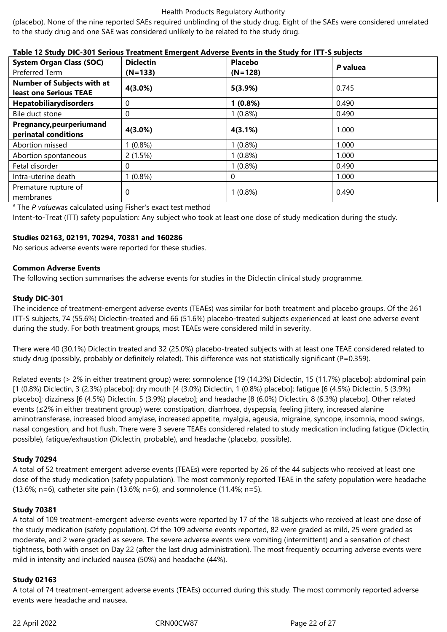(placebo). None of the nine reported SAEs required unblinding of the study drug. Eight of the SAEs were considered unrelated to the study drug and one SAE was considered unlikely to be related to the study drug.

### **Table 12 Study DIC-301 Serious Treatment Emergent Adverse Events in the Study for ITT-S subjects**

| <b>System Organ Class (SOC)</b><br>Preferred Term           | <b>Diclectin</b><br>$(N=133)$ | <b>Placebo</b><br>$(N=128)$ | P valuea |
|-------------------------------------------------------------|-------------------------------|-----------------------------|----------|
| <b>Number of Subjects with at</b><br>least one Serious TEAE | 4(3.0%)                       | 5(3.9%)                     | 0.745    |
| Hepatobiliarydisorders                                      | 0                             | $1(0.8\%)$                  | 0.490    |
| Bile duct stone                                             | 0                             | $1(0.8\%)$                  | 0.490    |
| Pregnancy, peurperiumand<br>perinatal conditions            | 4(3.0%)                       | 4(3.1%)                     | 1.000    |
| Abortion missed                                             | $(0.8\%)$                     | $1(0.8\%)$                  | 1.000    |
| Abortion spontaneous                                        | 2(1.5%)                       | $1(0.8\%)$                  | 1.000    |
| Fetal disorder                                              | 0                             | $1(0.8\%)$                  | 0.490    |
| Intra-uterine death                                         | $(0.8\%)$                     |                             | 1.000    |
| Premature rupture of<br>membranes                           | 0                             | $1(0.8\%)$                  | 0.490    |

<sup>a</sup> The *P valuewas calculated using Fisher's exact test method* 

Intent-to-Treat (ITT) safety population: Any subject who took at least one dose of study medication during the study.

# **Studies 02163, 02191, 70294, 70381 and 160286**

No serious adverse events were reported for these studies.

### **Common Adverse Events**

The following section summarises the adverse events for studies in the Diclectin clinical study programme.

# **Study DIC-301**

The incidence of treatment-emergent adverse events (TEAEs) was similar for both treatment and placebo groups. Of the 261 ITT-S subjects, 74 (55.6%) Diclectin-treated and 66 (51.6%) placebo-treated subjects experienced at least one adverse event during the study. For both treatment groups, most TEAEs were considered mild in severity.

There were 40 (30.1%) Diclectin treated and 32 (25.0%) placebo-treated subjects with at least one TEAE considered related to study drug (possibly, probably or definitely related). This difference was not statistically significant (P=0.359).

Related events (> 2% in either treatment group) were: somnolence [19 (14.3%) Diclectin, 15 (11.7%) placebo]; abdominal pain [1 (0.8%) Diclectin, 3 (2.3%) placebo]; dry mouth [4 (3.0%) Diclectin, 1 (0.8%) placebo]; fatigue [6 (4.5%) Diclectin, 5 (3.9%) placebo]; dizziness [6 (4.5%) Diclectin, 5 (3.9%) placebo]; and headache [8 (6.0%) Diclectin, 8 (6.3%) placebo]. Other related events (≤2% in either treatment group) were: constipation, diarrhoea, dyspepsia, feeling jittery, increased alanine aminotransferase, increased blood amylase, increased appetite, myalgia, ageusia, migraine, syncope, insomnia, mood swings, nasal congestion, and hot flush. There were 3 severe TEAEs considered related to study medication including fatigue (Diclectin, possible), fatigue/exhaustion (Diclectin, probable), and headache (placebo, possible).

### **Study 70294**

A total of 52 treatment emergent adverse events (TEAEs) were reported by 26 of the 44 subjects who received at least one dose of the study medication (safety population). The most commonly reported TEAE in the safety population were headache (13.6%; n=6), catheter site pain (13.6%; n=6), and somnolence (11.4%; n=5).

### **Study 70381**

A total of 109 treatment-emergent adverse events were reported by 17 of the 18 subjects who received at least one dose of the study medication (safety population). Of the 109 adverse events reported, 82 were graded as mild, 25 were graded as moderate, and 2 were graded as severe. The severe adverse events were vomiting (intermittent) and a sensation of chest tightness, both with onset on Day 22 (after the last drug administration). The most frequently occurring adverse events were mild in intensity and included nausea (50%) and headache (44%).

### **Study 02163**

A total of 74 treatment-emergent adverse events (TEAEs) occurred during this study. The most commonly reported adverse events were headache and nausea.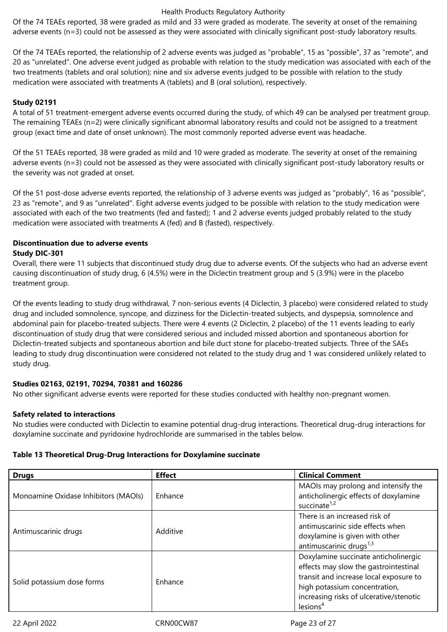Of the 74 TEAEs reported, 38 were graded as mild and 33 were graded as moderate. The severity at onset of the remaining adverse events (n=3) could not be assessed as they were associated with clinically significant post-study laboratory results.

Of the 74 TEAEs reported, the relationship of 2 adverse events was judged as "probable", 15 as "possible", 37 as "remote", and 20 as "unrelated". One adverse event judged as probable with relation to the study medication was associated with each of the two treatments (tablets and oral solution); nine and six adverse events judged to be possible with relation to the study medication were associated with treatments A (tablets) and B (oral solution), respectively.

# **Study 02191**

A total of 51 treatment-emergent adverse events occurred during the study, of which 49 can be analysed per treatment group. The remaining TEAEs (n=2) were clinically significant abnormal laboratory results and could not be assigned to a treatment group (exact time and date of onset unknown). The most commonly reported adverse event was headache.

Of the 51 TEAEs reported, 38 were graded as mild and 10 were graded as moderate. The severity at onset of the remaining adverse events (n=3) could not be assessed as they were associated with clinically significant post-study laboratory results or the severity was not graded at onset.

Of the 51 post-dose adverse events reported, the relationship of 3 adverse events was judged as "probably", 16 as "possible", 23 as "remote", and 9 as "unrelated". Eight adverse events judged to be possible with relation to the study medication were associated with each of the two treatments (fed and fasted); 1 and 2 adverse events judged probably related to the study medication were associated with treatments A (fed) and B (fasted), respectively.

# **Discontinuation due to adverse events Study DIC-301**

Overall, there were 11 subjects that discontinued study drug due to adverse events. Of the subjects who had an adverse event causing discontinuation of study drug, 6 (4.5%) were in the Diclectin treatment group and 5 (3.9%) were in the placebo treatment group.

Of the events leading to study drug withdrawal, 7 non-serious events (4 Diclectin, 3 placebo) were considered related to study drug and included somnolence, syncope, and dizziness for the Diclectin-treated subjects, and dyspepsia, somnolence and abdominal pain for placebo-treated subjects. There were 4 events (2 Diclectin, 2 placebo) of the 11 events leading to early discontinuation of study drug that were considered serious and included missed abortion and spontaneous abortion for Diclectin-treated subjects and spontaneous abortion and bile duct stone for placebo-treated subjects. Three of the SAEs leading to study drug discontinuation were considered not related to the study drug and 1 was considered unlikely related to study drug.

# **Studies 02163, 02191, 70294, 70381 and 160286**

No other significant adverse events were reported for these studies conducted with healthy non-pregnant women.

# **Safety related to interactions**

No studies were conducted with Diclectin to examine potential drug-drug interactions. Theoretical drug-drug interactions for doxylamine succinate and pyridoxine hydrochloride are summarised in the tables below.

# **Table 13 Theoretical Drug-Drug Interactions for Doxylamine succinate**

| <b>Drugs</b>                         | <b>Effect</b> | <b>Clinical Comment</b>                                                                                                                                                                                                     |
|--------------------------------------|---------------|-----------------------------------------------------------------------------------------------------------------------------------------------------------------------------------------------------------------------------|
| Monoamine Oxidase Inhibitors (MAOIs) | Enhance       | MAOIs may prolong and intensify the<br>anticholinergic effects of doxylamine<br>succinate <sup>1,2</sup>                                                                                                                    |
| Antimuscarinic drugs                 | Additive      | There is an increased risk of<br>antimuscarinic side effects when<br>doxylamine is given with other<br>antimuscarinic drugs <sup>1,3</sup>                                                                                  |
| Solid potassium dose forms           | Enhance       | Doxylamine succinate anticholinergic<br>effects may slow the gastrointestinal<br>transit and increase local exposure to<br>high potassium concentration,<br>increasing risks of ulcerative/stenotic<br>lesions <sup>4</sup> |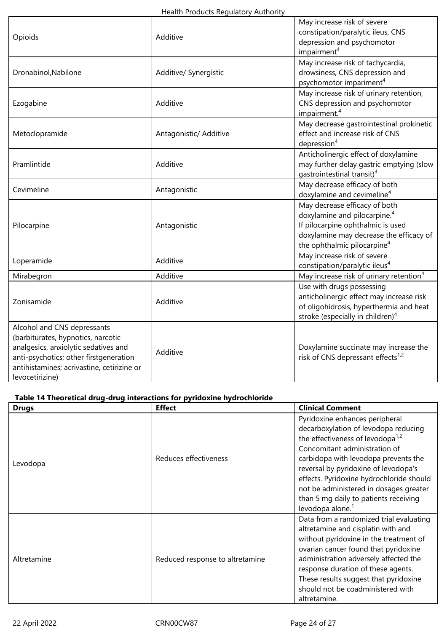| Opioids                                                                                                                                                                                                              | Additive               | May increase risk of severe<br>constipation/paralytic ileus, CNS<br>depression and psychomotor<br>impairment <sup>4</sup>                                                                            |
|----------------------------------------------------------------------------------------------------------------------------------------------------------------------------------------------------------------------|------------------------|------------------------------------------------------------------------------------------------------------------------------------------------------------------------------------------------------|
| Dronabinol, Nabilone                                                                                                                                                                                                 | Additive/ Synergistic  | May increase risk of tachycardia,<br>drowsiness, CNS depression and<br>psychomotor impariment <sup>4</sup>                                                                                           |
| Ezogabine                                                                                                                                                                                                            | Additive               | May increase risk of urinary retention,<br>CNS depression and psychomotor<br>impairment. <sup>4</sup>                                                                                                |
| Metoclopramide                                                                                                                                                                                                       | Antagonistic/ Additive | May decrease gastrointestinal prokinetic<br>effect and increase risk of CNS<br>depression <sup>4</sup>                                                                                               |
| Pramlintide                                                                                                                                                                                                          | Additive               | Anticholinergic effect of doxylamine<br>may further delay gastric emptying (slow<br>gastrointestinal transit) <sup>4</sup>                                                                           |
| Cevimeline                                                                                                                                                                                                           | Antagonistic           | May decrease efficacy of both<br>doxylamine and cevimeline <sup>4</sup>                                                                                                                              |
| Pilocarpine                                                                                                                                                                                                          | Antagonistic           | May decrease efficacy of both<br>doxylamine and pilocarpine. <sup>4</sup><br>If pilocarpine ophthalmic is used<br>doxylamine may decrease the efficacy of<br>the ophthalmic pilocarpine <sup>4</sup> |
| Loperamide                                                                                                                                                                                                           | Additive               | May increase risk of severe<br>constipation/paralytic ileus <sup>4</sup>                                                                                                                             |
| Mirabegron                                                                                                                                                                                                           | Additive               | May increase risk of urinary retention <sup>4</sup>                                                                                                                                                  |
| Zonisamide                                                                                                                                                                                                           | Additive               | Use with drugs possessing<br>anticholinergic effect may increase risk<br>of oligohidrosis, hyperthermia and heat<br>stroke (especially in children) <sup>4</sup>                                     |
| Alcohol and CNS depressants<br>(barbiturates, hypnotics, narcotic<br>analgesics, anxiolytic sedatives and<br>anti-psychotics; other firstgeneration<br>antihistamines; acrivastine, cetirizine or<br>levocetirizine) | Additive               | Doxylamine succinate may increase the<br>risk of CNS depressant effects <sup>1,2</sup>                                                                                                               |

# **Table 14 Theoretical drug-drug interactions for pyridoxine hydrochloride**

| <b>Drugs</b> | <b>Effect</b>                   | <b>Clinical Comment</b>                                                                                                                                                                                                                                                                                                                                                                                |
|--------------|---------------------------------|--------------------------------------------------------------------------------------------------------------------------------------------------------------------------------------------------------------------------------------------------------------------------------------------------------------------------------------------------------------------------------------------------------|
| Levodopa     | Reduces effectiveness           | Pyridoxine enhances peripheral<br>decarboxylation of levodopa reducing<br>the effectiveness of levodopa <sup>1,2</sup><br>Concomitant administration of<br>carbidopa with levodopa prevents the<br>reversal by pyridoxine of levodopa's<br>effects. Pyridoxine hydrochloride should<br>not be administered in dosages greater<br>than 5 mg daily to patients receiving<br>levodopa alone. <sup>1</sup> |
| Altretamine  | Reduced response to altretamine | Data from a randomized trial evaluating<br>altretamine and cisplatin with and<br>without pyridoxine in the treatment of<br>ovarian cancer found that pyridoxine<br>administration adversely affected the<br>response duration of these agents.<br>These results suggest that pyridoxine<br>should not be coadministered with<br>altretamine.                                                           |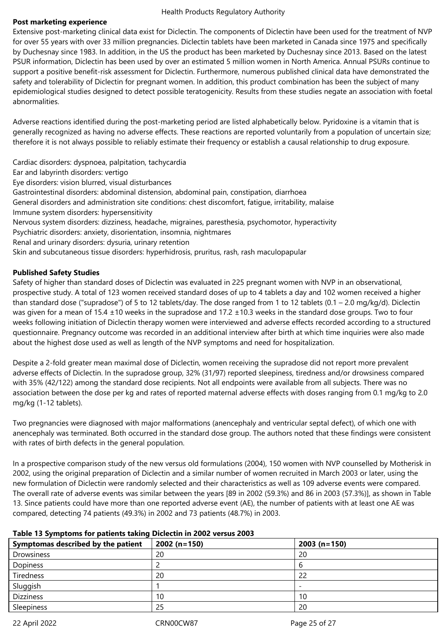### **Post marketing experience**

Extensive post-marketing clinical data exist for Diclectin. The components of Diclectin have been used for the treatment of NVP for over 55 years with over 33 million pregnancies. Diclectin tablets have been marketed in Canada since 1975 and specifically by Duchesnay since 1983. In addition, in the US the product has been marketed by Duchesnay since 2013. Based on the latest PSUR information, Diclectin has been used by over an estimated 5 million women in North America. Annual PSURs continue to support a positive benefit-risk assessment for Diclectin. Furthermore, numerous published clinical data have demonstrated the safety and tolerability of Diclectin for pregnant women. In addition, this product combination has been the subject of many epidemiological studies designed to detect possible teratogenicity. Results from these studies negate an association with foetal abnormalities.

Adverse reactions identified during the post-marketing period are listed alphabetically below. Pyridoxine is a vitamin that is generally recognized as having no adverse effects. These reactions are reported voluntarily from a population of uncertain size; therefore it is not always possible to reliably estimate their frequency or establish a causal relationship to drug exposure.

Cardiac disorders: dyspnoea, palpitation, tachycardia

- Ear and labyrinth disorders: vertigo
- Eye disorders: vision blurred, visual disturbances
- Gastrointestinal disorders: abdominal distension, abdominal pain, constipation, diarrhoea
- General disorders and administration site conditions: chest discomfort, fatigue, irritability, malaise
- Immune system disorders: hypersensitivity
- Nervous system disorders: dizziness, headache, migraines, paresthesia, psychomotor, hyperactivity
- Psychiatric disorders: anxiety, disorientation, insomnia, nightmares
- Renal and urinary disorders: dysuria, urinary retention

Skin and subcutaneous tissue disorders: hyperhidrosis, pruritus, rash, rash maculopapular

# **Published Safety Studies**

Safety of higher than standard doses of Diclectin was evaluated in 225 pregnant women with NVP in an observational, prospective study. A total of 123 women received standard doses of up to 4 tablets a day and 102 women received a higher than standard dose ("supradose") of 5 to 12 tablets/day. The dose ranged from 1 to 12 tablets  $(0.1 - 2.0 \text{ mg/kg/d})$ . Diclectin was given for a mean of 15.4 ±10 weeks in the supradose and 17.2 ±10.3 weeks in the standard dose groups. Two to four weeks following initiation of Diclectin therapy women were interviewed and adverse effects recorded according to a structured questionnaire. Pregnancy outcome was recorded in an additional interview after birth at which time inquiries were also made about the highest dose used as well as length of the NVP symptoms and need for hospitalization.

Despite a 2-fold greater mean maximal dose of Diclectin, women receiving the supradose did not report more prevalent adverse effects of Diclectin. In the supradose group, 32% (31/97) reported sleepiness, tiredness and/or drowsiness compared with 35% (42/122) among the standard dose recipients. Not all endpoints were available from all subjects. There was no association between the dose per kg and rates of reported maternal adverse effects with doses ranging from 0.1 mg/kg to 2.0 mg/kg (1-12 tablets).

Two pregnancies were diagnosed with major malformations (anencephaly and ventricular septal defect), of which one with anencephaly was terminated. Both occurred in the standard dose group. The authors noted that these findings were consistent with rates of birth defects in the general population.

In a prospective comparison study of the new versus old formulations (2004), 150 women with NVP counselled by Motherisk in 2002, using the original preparation of Diclectin and a similar number of women recruited in March 2003 or later, using the new formulation of Diclectin were randomly selected and their characteristics as well as 109 adverse events were compared. The overall rate of adverse events was similar between the years [89 in 2002 (59.3%) and 86 in 2003 (57.3%)], as shown in Table 13. Since patients could have more than one reported adverse event (AE), the number of patients with at least one AE was compared, detecting 74 patients (49.3%) in 2002 and 73 patients (48.7%) in 2003.

# **Table 13 Symptoms for patients taking Diclectin in 2002 versus 2003**

| Symptomas described by the patient | $2002(n=150)$ | $2003(n=150)$ |
|------------------------------------|---------------|---------------|
| Drowsiness                         | 20            | 20            |
| Dopiness                           |               |               |
| Tiredness                          | 20            | 22            |
| Sluggish                           |               |               |
| <b>Dizziness</b>                   | 10            | 10            |
| Sleepiness                         | 25            | 20            |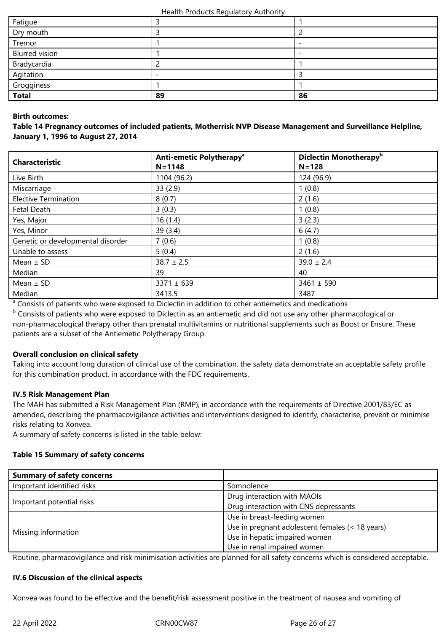| Fatigue               |    |    |
|-----------------------|----|----|
| Dry mouth             |    |    |
| Tremor                |    |    |
| <b>Blurred vision</b> |    | -  |
| Bradycardia           |    |    |
| Agitation             |    |    |
| Grogginess            |    |    |
| <b>Total</b>          | 89 | 86 |

### **Birth outcomes:**

**Table 14 Pregnancy outcomes of included patients, Motherrisk NVP Disease Management and Surveillance Helpline, January 1, 1996 to August 27, 2014**

| <b>Characteristic</b>             | Anti-emetic Polytherapy <sup>a</sup><br>$N = 1148$ | Diclectin Monotherapy <sup>b</sup><br>$N = 128$ |  |
|-----------------------------------|----------------------------------------------------|-------------------------------------------------|--|
| Live Birth                        | 1104 (96.2)                                        | 124 (96.9)                                      |  |
| Miscarriage                       | 33(2.9)                                            | 1(0.8)                                          |  |
| <b>Elective Termination</b>       | 8(0.7)                                             | 2(1.6)                                          |  |
| Fetal Death                       | 3(0.3)                                             | 1(0.8)                                          |  |
| Yes, Major                        | 16(1.4)                                            | 3(2.3)                                          |  |
| Yes, Minor                        | 39(3.4)                                            | 6(4.7)                                          |  |
| Genetic or developmental disorder | 7(0.6)                                             | 1(0.8)                                          |  |
| Unable to assess                  | 5(0.4)                                             | 2(1.6)                                          |  |
| Mean $\pm$ SD                     | $38.7 \pm 2.5$                                     | $39.0 \pm 2.4$                                  |  |
| Median                            | 39                                                 | 40                                              |  |
| Mean $\pm$ SD                     | $3371 \pm 639$                                     | $3461 \pm 590$                                  |  |
| Median                            | 3413.5                                             | 3487                                            |  |

<sup>a</sup> Consists of patients who were exposed to Diclectin in addition to other antiemetics and medications

**b** Consists of patients who were exposed to Diclectin as an antiemetic and did not use any other pharmacological or non-pharmacological therapy other than prenatal multivitamins or nutritional supplements such as Boost or Ensure. These patients are a subset of the Antiemetic Polytherapy Group.

### **Overall conclusion on clinical safety**

Taking into account long duration of clinical use of the combination, the safety data demonstrate an acceptable safety profile for this combination product, in accordance with the FDC requirements.

### **IV.5 Risk Management Plan**

The MAH has submitted a Risk Management Plan (RMP), in accordance with the requirements of Directive 2001/83/EC as amended, describing the pharmacovigilance activities and interventions designed to identify, characterise, prevent or minimise risks relating to Xonvea.

A summary of safety concerns is listed in the table below:

### **Table 15 Summary of safety concerns**

| <b>Summary of safety concerns</b> |                                                 |  |
|-----------------------------------|-------------------------------------------------|--|
| Important identified risks        | Somnolence                                      |  |
|                                   | Drug interaction with MAOIs                     |  |
| Important potential risks         | Drug interaction with CNS depressants           |  |
|                                   | Use in breast-feeding women                     |  |
|                                   | Use in pregnant adolescent females (< 18 years) |  |
| Missing information               | Use in hepatic impaired women                   |  |
|                                   | Use in renal impaired women                     |  |

Routine, pharmacovigilance and risk minimisation activities are planned for all safety concerns which is considered acceptable.

### **IV.6 Discussion of the clinical aspects**

Xonvea was found to be effective and the benefit/risk assessment positive in the treatment of nausea and vomiting of